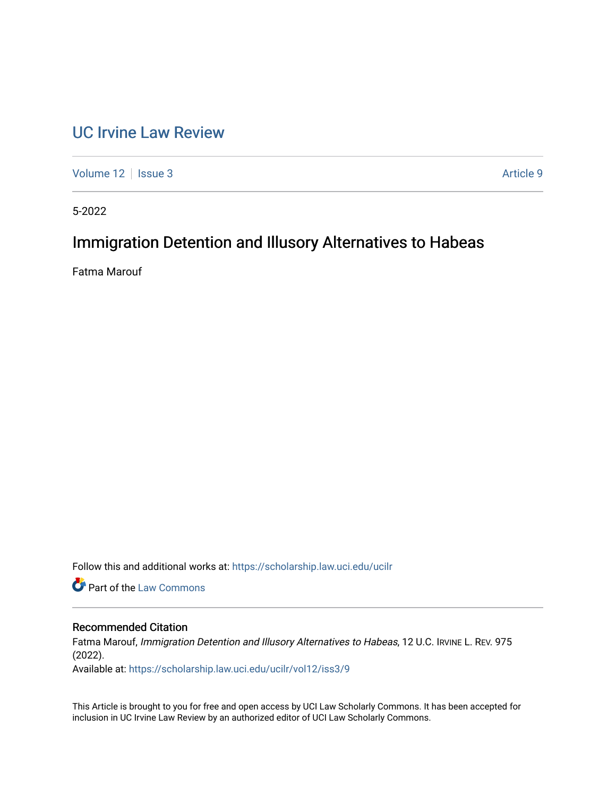# [UC Irvine Law Review](https://scholarship.law.uci.edu/ucilr)

[Volume 12](https://scholarship.law.uci.edu/ucilr/vol12) | [Issue 3](https://scholarship.law.uci.edu/ucilr/vol12/iss3) Article 9

5-2022

# Immigration Detention and Illusory Alternatives to Habeas

Fatma Marouf

Follow this and additional works at: [https://scholarship.law.uci.edu/ucilr](https://scholarship.law.uci.edu/ucilr?utm_source=scholarship.law.uci.edu%2Fucilr%2Fvol12%2Fiss3%2F9&utm_medium=PDF&utm_campaign=PDFCoverPages)

**C** Part of the [Law Commons](https://network.bepress.com/hgg/discipline/578?utm_source=scholarship.law.uci.edu%2Fucilr%2Fvol12%2Fiss3%2F9&utm_medium=PDF&utm_campaign=PDFCoverPages)

# Recommended Citation

Fatma Marouf, Immigration Detention and Illusory Alternatives to Habeas, 12 U.C. IRVINE L. REV. 975 (2022).

Available at: [https://scholarship.law.uci.edu/ucilr/vol12/iss3/9](https://scholarship.law.uci.edu/ucilr/vol12/iss3/9?utm_source=scholarship.law.uci.edu%2Fucilr%2Fvol12%2Fiss3%2F9&utm_medium=PDF&utm_campaign=PDFCoverPages) 

This Article is brought to you for free and open access by UCI Law Scholarly Commons. It has been accepted for inclusion in UC Irvine Law Review by an authorized editor of UCI Law Scholarly Commons.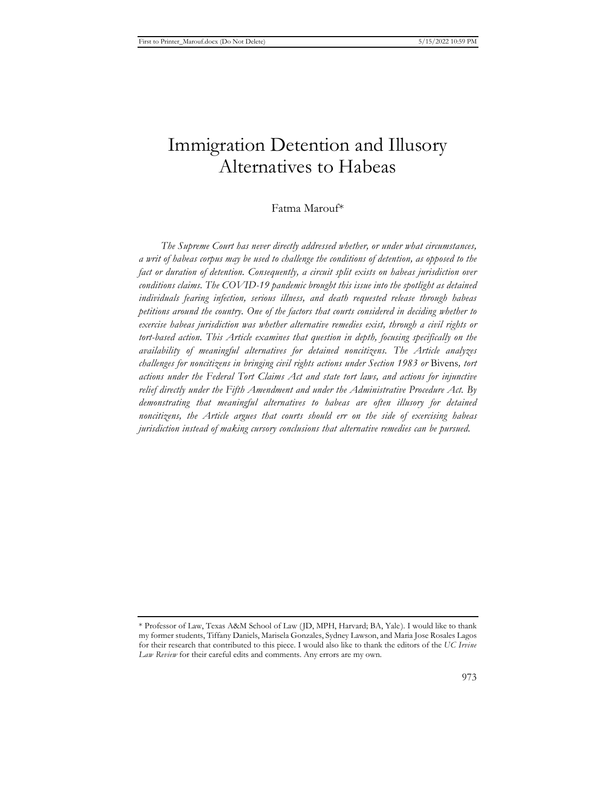# Immigration Detention and Illusory Alternatives to Habeas

# Fatma Marouf\*

*The Supreme Court has never directly addressed whether, or under what circumstances, a writ of habeas corpus may be used to challenge the conditions of detention, as opposed to the fact or duration of detention. Consequently, a circuit split exists on habeas jurisdiction over conditions claims. The COVID-19 pandemic brought this issue into the spotlight as detained individuals fearing infection, serious illness, and death requested release through habeas petitions around the country. One of the factors that courts considered in deciding whether to exercise habeas jurisdiction was whether alternative remedies exist, through a civil rights or tort-based action. This Article examines that question in depth, focusing specifically on the availability of meaningful alternatives for detained noncitizens. The Article analyzes challenges for noncitizens in bringing civil rights actions under Section 1983 or* Bivens*, tort actions under the Federal Tort Claims Act and state tort laws, and actions for injunctive relief directly under the Fifth Amendment and under the Administrative Procedure Act. By demonstrating that meaningful alternatives to habeas are often illusory for detained noncitizens, the Article argues that courts should err on the side of exercising habeas jurisdiction instead of making cursory conclusions that alternative remedies can be pursued.* 

<sup>\*</sup> Professor of Law, Texas A&M School of Law (JD, MPH, Harvard; BA, Yale). I would like to thank my former students, Tiffany Daniels, Marisela Gonzales, Sydney Lawson, and Maria Jose Rosales Lagos for their research that contributed to this piece. I would also like to thank the editors of the *UC Irvine Law Review* for their careful edits and comments. Any errors are my own.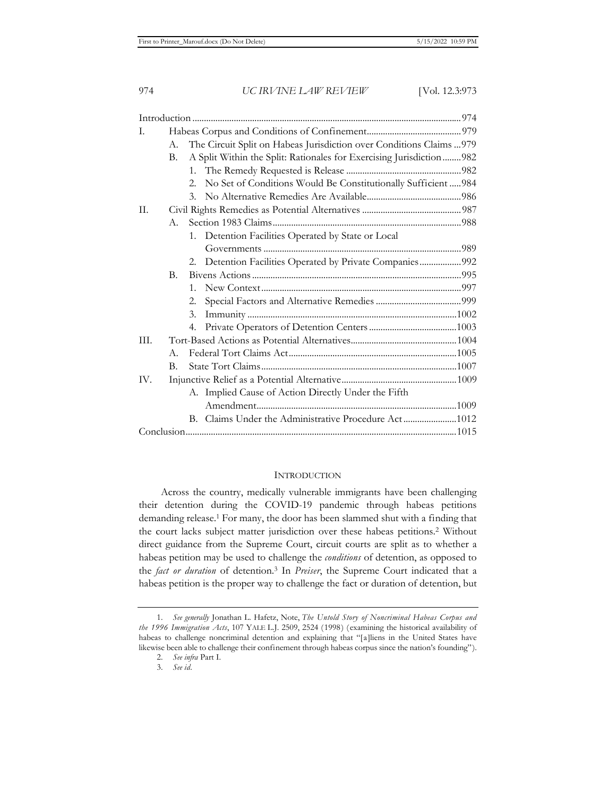| I.   |                                                                            |                                                                      |                                                                |  |
|------|----------------------------------------------------------------------------|----------------------------------------------------------------------|----------------------------------------------------------------|--|
|      | The Circuit Split on Habeas Jurisdiction over Conditions Claims  979<br>А. |                                                                      |                                                                |  |
|      | В.                                                                         | A Split Within the Split: Rationales for Exercising Jurisdiction 982 |                                                                |  |
|      |                                                                            |                                                                      |                                                                |  |
|      |                                                                            | $2^{+}$                                                              | No Set of Conditions Would Be Constitutionally Sufficient  984 |  |
|      |                                                                            |                                                                      |                                                                |  |
| II.  |                                                                            |                                                                      |                                                                |  |
|      | $A_{\cdot}$                                                                |                                                                      |                                                                |  |
|      |                                                                            |                                                                      | 1. Detention Facilities Operated by State or Local             |  |
|      |                                                                            |                                                                      |                                                                |  |
|      |                                                                            | 2.                                                                   | Detention Facilities Operated by Private Companies992          |  |
|      | В.                                                                         |                                                                      |                                                                |  |
|      |                                                                            | $1_{-}$                                                              |                                                                |  |
|      |                                                                            | 2.                                                                   |                                                                |  |
|      |                                                                            | 3.                                                                   |                                                                |  |
|      |                                                                            | 4.                                                                   |                                                                |  |
| III. |                                                                            |                                                                      |                                                                |  |
|      | $A_{-}$                                                                    |                                                                      |                                                                |  |
|      | В.                                                                         |                                                                      |                                                                |  |
| IV.  |                                                                            |                                                                      |                                                                |  |
|      |                                                                            |                                                                      | A. Implied Cause of Action Directly Under the Fifth            |  |
|      |                                                                            |                                                                      |                                                                |  |
|      |                                                                            |                                                                      | B. Claims Under the Administrative Procedure Act1012           |  |
|      |                                                                            |                                                                      |                                                                |  |

### **INTRODUCTION**

Across the country, medically vulnerable immigrants have been challenging their detention during the COVID-19 pandemic through habeas petitions demanding release.1 For many, the door has been slammed shut with a finding that the court lacks subject matter jurisdiction over these habeas petitions.<sup>2</sup> Without direct guidance from the Supreme Court, circuit courts are split as to whether a habeas petition may be used to challenge the *conditions* of detention, as opposed to the *fact or duration* of detention.3 In *Preiser*, the Supreme Court indicated that a habeas petition is the proper way to challenge the fact or duration of detention, but

<sup>1.</sup> *See generally* Jonathan L. Hafetz, Note, *The Untold Story of Noncriminal Habeas Corpus and the 1996 Immigration Acts*, 107 YALE L.J. 2509, 2524 (1998) (examining the historical availability of habeas to challenge noncriminal detention and explaining that "[a]liens in the United States have likewise been able to challenge their confinement through habeas corpus since the nation's founding").

<sup>2.</sup> *See infra* Part I.

<sup>3.</sup> *See id.*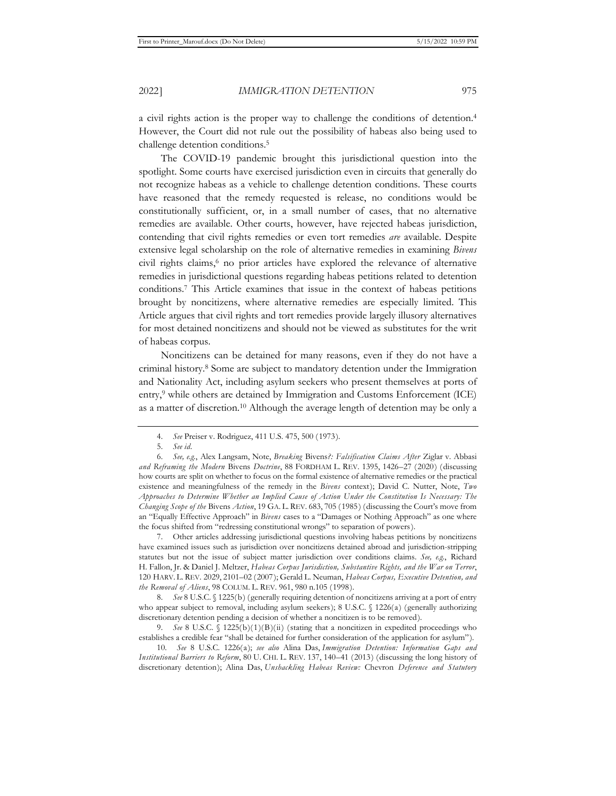a civil rights action is the proper way to challenge the conditions of detention.4 However, the Court did not rule out the possibility of habeas also being used to challenge detention conditions.5

The COVID-19 pandemic brought this jurisdictional question into the spotlight. Some courts have exercised jurisdiction even in circuits that generally do not recognize habeas as a vehicle to challenge detention conditions. These courts have reasoned that the remedy requested is release, no conditions would be constitutionally sufficient, or, in a small number of cases, that no alternative remedies are available. Other courts, however, have rejected habeas jurisdiction, contending that civil rights remedies or even tort remedies *are* available. Despite extensive legal scholarship on the role of alternative remedies in examining *Bivens*  civil rights claims,<sup>6</sup> no prior articles have explored the relevance of alternative remedies in jurisdictional questions regarding habeas petitions related to detention conditions.7 This Article examines that issue in the context of habeas petitions brought by noncitizens, where alternative remedies are especially limited. This Article argues that civil rights and tort remedies provide largely illusory alternatives for most detained noncitizens and should not be viewed as substitutes for the writ of habeas corpus.

Noncitizens can be detained for many reasons, even if they do not have a criminal history.8 Some are subject to mandatory detention under the Immigration and Nationality Act, including asylum seekers who present themselves at ports of entry,<sup>9</sup> while others are detained by Immigration and Customs Enforcement (ICE) as a matter of discretion.10 Although the average length of detention may be only a

7. Other articles addressing jurisdictional questions involving habeas petitions by noncitizens have examined issues such as jurisdiction over noncitizens detained abroad and jurisdiction-stripping statutes but not the issue of subject matter jurisdiction over conditions claims. *See, e.g.*, Richard H. Fallon, Jr. & Daniel J. Meltzer, *Habeas Corpus Jurisdiction, Substantive Rights, and the War on Terror*, 120 HARV. L. REV. 2029, 2101–02 (2007); Gerald L. Neuman, *Habeas Corpus, Executive Detention, and the Removal of Aliens*, 98 COLUM. L. REV. 961, 980 n.105 (1998).

8. *See* 8 U.S.C. § 1225(b) (generally requiring detention of noncitizens arriving at a port of entry who appear subject to removal, including asylum seekers); 8 U.S.C. § 1226(a) (generally authorizing discretionary detention pending a decision of whether a noncitizen is to be removed).

9. See 8 U.S.C. § 1225(b)(1)(B)(ii) (stating that a noncitizen in expedited proceedings who establishes a credible fear "shall be detained for further consideration of the application for asylum").

10. *See* 8 U.S.C. 1226(a); *see also* Alina Das, *Immigration Detention: Information Gaps and Institutional Barriers to Reform*, 80 U. CHI. L. REV. 137, 140–41 (2013) (discussing the long history of discretionary detention); Alina Das, *Unshackling Habeas Review:* Chevron *Deference and Statutory*

<sup>4.</sup> *See* Preiser v. Rodriguez, 411 U.S. 475, 500 (1973).

<sup>5.</sup> *See id.* 

<sup>6.</sup> *See, e.g.*, Alex Langsam, Note, *Breaking* Bivens*?: Falsification Claims After* Ziglar v. Abbasi *and Reframing the Modern* Bivens *Doctrine*, 88 FORDHAM L. REV. 1395, 1426–27 (2020) (discussing how courts are split on whether to focus on the formal existence of alternative remedies or the practical existence and meaningfulness of the remedy in the *Bivens* context); David C. Nutter, Note, *Two Approaches to Determine Whether an Implied Cause of Action Under the Constitution Is Necessary: The Changing Scope of the* Bivens *Action*, 19 GA. L. REV. 683, 705 (1985) (discussing the Court's move from an "Equally Effective Approach" in *Bivens* cases to a "Damages or Nothing Approach" as one where the focus shifted from "redressing constitutional wrongs" to separation of powers).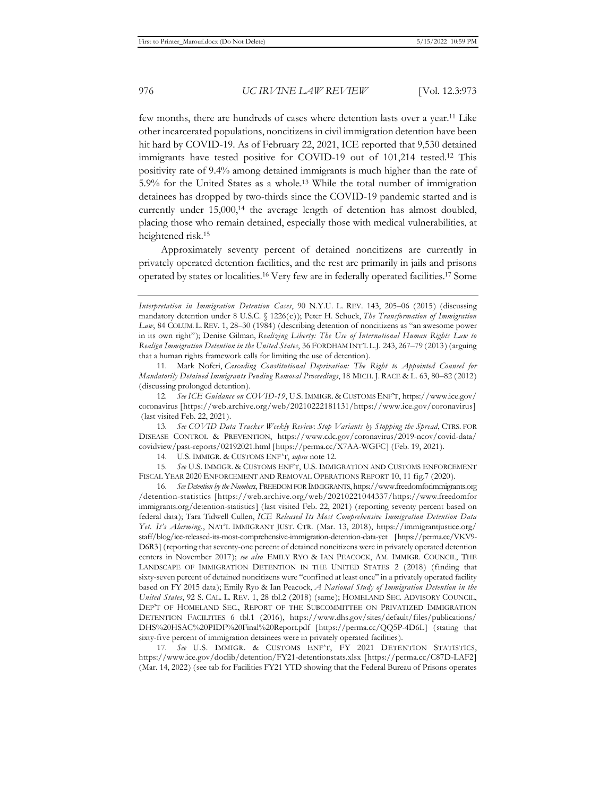few months, there are hundreds of cases where detention lasts over a year.11 Like other incarcerated populations, noncitizens in civil immigration detention have been hit hard by COVID-19. As of February 22, 2021, ICE reported that 9,530 detained immigrants have tested positive for COVID-19 out of 101,214 tested.12 This positivity rate of 9.4% among detained immigrants is much higher than the rate of 5.9% for the United States as a whole.13 While the total number of immigration detainees has dropped by two-thirds since the COVID-19 pandemic started and is currently under 15,000,<sup>14</sup> the average length of detention has almost doubled, placing those who remain detained, especially those with medical vulnerabilities, at heightened risk.15

Approximately seventy percent of detained noncitizens are currently in privately operated detention facilities, and the rest are primarily in jails and prisons operated by states or localities.16 Very few are in federally operated facilities.17 Some

11. Mark Noferi, *Cascading Constitutional Deprivation: The Right to Appointed Counsel for Mandatorily Detained Immigrants Pending Removal Proceedings*, 18 MICH. J. RACE & L. 63, 80–82 (2012) (discussing prolonged detention).

12. *See ICE Guidance on COVID-19*, U.S.IMMIGR. & CUSTOMS ENF'T, https://www.ice.gov/ coronavirus [https://web.archive.org/web/20210222181131/https://www.ice.gov/coronavirus] (last visited Feb. 22, 2021).

13. *See COVID Data Tracker Weekly Review*: *Stop Variants by Stopping the Spread*, CTRS. FOR DISEASE CONTROL & PREVENTION, https://www.cdc.gov/coronavirus/2019-ncov/covid-data/ covidview/past-reports/02192021.html [https://perma.cc/X7AA-WGFC] (Feb. 19, 2021).

14. U.S. IMMIGR. & CUSTOMS ENF'T, *supra* note 12.

15. *See* U.S. IMMIGR. & CUSTOMS ENF'T, U.S. IMMIGRATION AND CUSTOMS ENFORCEMENT FISCAL YEAR 2020 ENFORCEMENT AND REMOVAL OPERATIONS REPORT 10, 11 fig.7 (2020).

16. *See Detention by the Numbers*, FREEDOM FOR IMMIGRANTS, https://www.freedomforimmigrants.org /detention-statistics [https://web.archive.org/web/20210221044337/https://www.freedomfor immigrants.org/detention-statistics] (last visited Feb. 22, 2021) (reporting seventy percent based on federal data); Tara Tidwell Cullen, *ICE Released Its Most Comprehensive Immigration Detention Data Yet. It's Alarming.*, NAT'L IMMIGRANT JUST. CTR. (Mar. 13, 2018), https://immigrantjustice.org/ staff/blog/ice-released-its-most-comprehensive-immigration-detention-data-yet [https://perma.cc/VKV9- D6R3] (reporting that seventy-one percent of detained noncitizens were in privately operated detention centers in November 2017); *see also* EMILY RYO & IAN PEACOCK, AM. IMMIGR. COUNCIL, THE LANDSCAPE OF IMMIGRATION DETENTION IN THE UNITED STATES 2 (2018) (finding that sixty-seven percent of detained noncitizens were "confined at least once" in a privately operated facility based on FY 2015 data); Emily Ryo & Ian Peacock, *A National Study of Immigration Detention in the United States*, 92 S. CAL. L. REV. 1, 28 tbl.2 (2018) (same); HOMELAND SEC. ADVISORY COUNCIL, DEP'T OF HOMELAND SEC., REPORT OF THE SUBCOMMITTEE ON PRIVATIZED IMMIGRATION DETENTION FACILITIES 6 tbl.1 (2016), https://www.dhs.gov/sites/default/files/publications/ DHS%20HSAC%20PIDF%20Final%20Report.pdf [https://perma.cc/QQ5P-4D6L] (stating that sixty-five percent of immigration detainees were in privately operated facilities).

17. *See* U.S. IMMIGR. & CUSTOMS ENF'T, FY 2021 DETENTION STATISTICS, https://www.ice.gov/doclib/detention/FY21-detentionstats.xlsx [https://perma.cc/C87D-LAF2] (Mar. 14, 2022) (see tab for Facilities FY21 YTD showing that the Federal Bureau of Prisons operates

*Interpretation in Immigration Detention Cases*, 90 N.Y.U. L. REV. 143, 205–06 (2015) (discussing mandatory detention under 8 U.S.C. § 1226(c)); Peter H. Schuck, *The Transformation of Immigration Law*, 84 COLUM. L. REV. 1, 28–30 (1984) (describing detention of noncitizens as "an awesome power in its own right"); Denise Gilman, *Realizing Liberty: The Use of International Human Rights Law to Realign Immigration Detention in the United States*, 36 FORDHAM INT'L L.J. 243, 267–79 (2013) (arguing that a human rights framework calls for limiting the use of detention).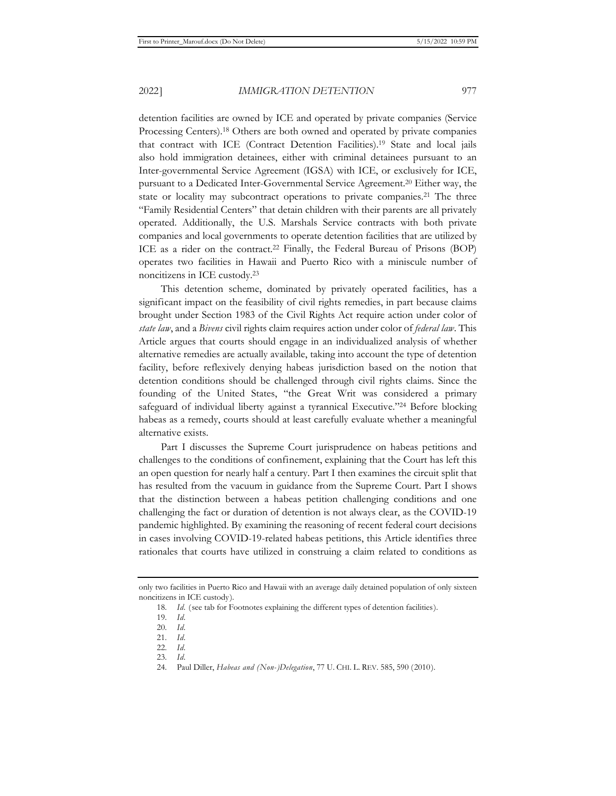detention facilities are owned by ICE and operated by private companies (Service Processing Centers).18 Others are both owned and operated by private companies that contract with ICE (Contract Detention Facilities).19 State and local jails also hold immigration detainees, either with criminal detainees pursuant to an Inter-governmental Service Agreement (IGSA) with ICE, or exclusively for ICE, pursuant to a Dedicated Inter-Governmental Service Agreement.20 Either way, the state or locality may subcontract operations to private companies.<sup>21</sup> The three "Family Residential Centers" that detain children with their parents are all privately operated. Additionally, the U.S. Marshals Service contracts with both private companies and local governments to operate detention facilities that are utilized by ICE as a rider on the contract.<sup>22</sup> Finally, the Federal Bureau of Prisons (BOP) operates two facilities in Hawaii and Puerto Rico with a miniscule number of noncitizens in ICE custody.23

This detention scheme, dominated by privately operated facilities, has a significant impact on the feasibility of civil rights remedies, in part because claims brought under Section 1983 of the Civil Rights Act require action under color of *state law*, and a *Bivens* civil rights claim requires action under color of *federal law*. This Article argues that courts should engage in an individualized analysis of whether alternative remedies are actually available, taking into account the type of detention facility, before reflexively denying habeas jurisdiction based on the notion that detention conditions should be challenged through civil rights claims. Since the founding of the United States, "the Great Writ was considered a primary safeguard of individual liberty against a tyrannical Executive."24 Before blocking habeas as a remedy, courts should at least carefully evaluate whether a meaningful alternative exists.

Part I discusses the Supreme Court jurisprudence on habeas petitions and challenges to the conditions of confinement, explaining that the Court has left this an open question for nearly half a century. Part I then examines the circuit split that has resulted from the vacuum in guidance from the Supreme Court. Part I shows that the distinction between a habeas petition challenging conditions and one challenging the fact or duration of detention is not always clear, as the COVID-19 pandemic highlighted. By examining the reasoning of recent federal court decisions in cases involving COVID-19-related habeas petitions, this Article identifies three rationales that courts have utilized in construing a claim related to conditions as

only two facilities in Puerto Rico and Hawaii with an average daily detained population of only sixteen noncitizens in ICE custody).

<sup>18.</sup> *Id.* (see tab for Footnotes explaining the different types of detention facilities).

<sup>19.</sup> *Id.* 

<sup>20.</sup> *Id.* 

<sup>21.</sup> *Id.* 

<sup>22.</sup> *Id.* 

<sup>23.</sup> *Id.* 

<sup>24.</sup> Paul Diller, *Habeas and (Non-)Delegation*, 77 U. CHI. L. REV. 585, 590 (2010).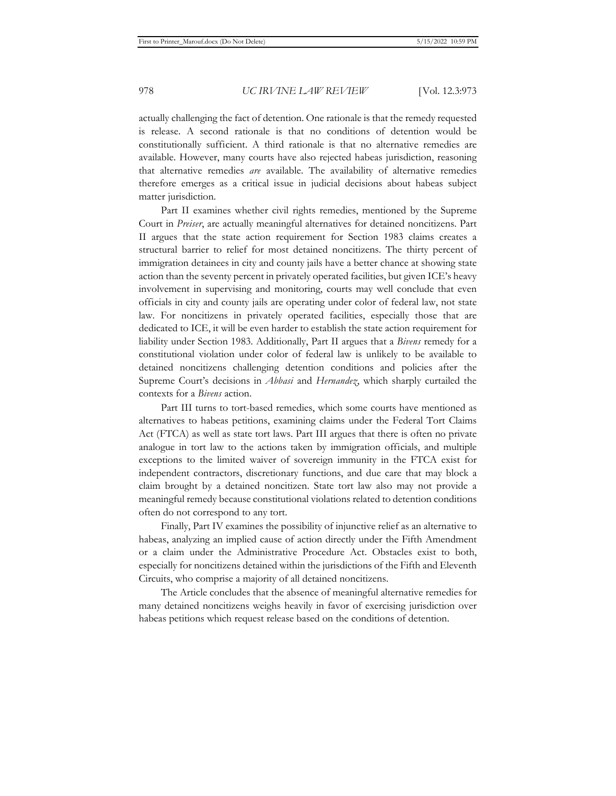actually challenging the fact of detention. One rationale is that the remedy requested is release. A second rationale is that no conditions of detention would be constitutionally sufficient. A third rationale is that no alternative remedies are available. However, many courts have also rejected habeas jurisdiction, reasoning that alternative remedies *are* available. The availability of alternative remedies therefore emerges as a critical issue in judicial decisions about habeas subject matter jurisdiction.

Part II examines whether civil rights remedies, mentioned by the Supreme Court in *Preiser*, are actually meaningful alternatives for detained noncitizens. Part II argues that the state action requirement for Section 1983 claims creates a structural barrier to relief for most detained noncitizens. The thirty percent of immigration detainees in city and county jails have a better chance at showing state action than the seventy percent in privately operated facilities, but given ICE's heavy involvement in supervising and monitoring, courts may well conclude that even officials in city and county jails are operating under color of federal law, not state law. For noncitizens in privately operated facilities, especially those that are dedicated to ICE, it will be even harder to establish the state action requirement for liability under Section 1983. Additionally, Part II argues that a *Bivens* remedy for a constitutional violation under color of federal law is unlikely to be available to detained noncitizens challenging detention conditions and policies after the Supreme Court's decisions in *Abbasi* and *Hernandez*, which sharply curtailed the contexts for a *Bivens* action.

Part III turns to tort-based remedies, which some courts have mentioned as alternatives to habeas petitions, examining claims under the Federal Tort Claims Act (FTCA) as well as state tort laws. Part III argues that there is often no private analogue in tort law to the actions taken by immigration officials, and multiple exceptions to the limited waiver of sovereign immunity in the FTCA exist for independent contractors, discretionary functions, and due care that may block a claim brought by a detained noncitizen. State tort law also may not provide a meaningful remedy because constitutional violations related to detention conditions often do not correspond to any tort.

Finally, Part IV examines the possibility of injunctive relief as an alternative to habeas, analyzing an implied cause of action directly under the Fifth Amendment or a claim under the Administrative Procedure Act. Obstacles exist to both, especially for noncitizens detained within the jurisdictions of the Fifth and Eleventh Circuits, who comprise a majority of all detained noncitizens.

The Article concludes that the absence of meaningful alternative remedies for many detained noncitizens weighs heavily in favor of exercising jurisdiction over habeas petitions which request release based on the conditions of detention.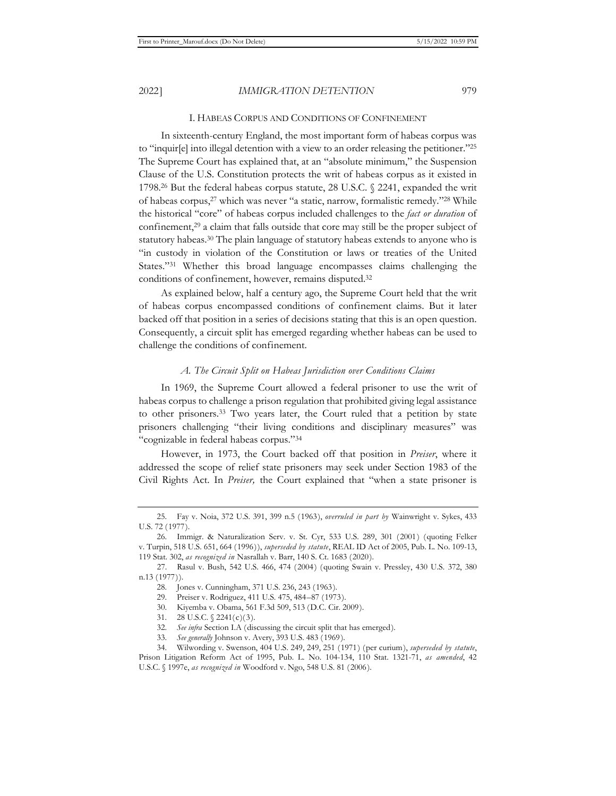#### I. HABEAS CORPUS AND CONDITIONS OF CONFINEMENT

In sixteenth-century England, the most important form of habeas corpus was to "inquir[e] into illegal detention with a view to an order releasing the petitioner."25 The Supreme Court has explained that, at an "absolute minimum," the Suspension Clause of the U.S. Constitution protects the writ of habeas corpus as it existed in 1798.<sup>26</sup> But the federal habeas corpus statute, 28 U.S.C.  $\sqrt{2241}$ , expanded the writ of habeas corpus,<sup>27</sup> which was never "a static, narrow, formalistic remedy."<sup>28</sup> While the historical "core" of habeas corpus included challenges to the *fact or duration* of confinement,29 a claim that falls outside that core may still be the proper subject of statutory habeas.<sup>30</sup> The plain language of statutory habeas extends to anyone who is "in custody in violation of the Constitution or laws or treaties of the United States."31 Whether this broad language encompasses claims challenging the conditions of confinement, however, remains disputed.32

As explained below, half a century ago, the Supreme Court held that the writ of habeas corpus encompassed conditions of confinement claims. But it later backed off that position in a series of decisions stating that this is an open question. Consequently, a circuit split has emerged regarding whether habeas can be used to challenge the conditions of confinement.

#### *A. The Circuit Split on Habeas Jurisdiction over Conditions Claims*

In 1969, the Supreme Court allowed a federal prisoner to use the writ of habeas corpus to challenge a prison regulation that prohibited giving legal assistance to other prisoners.33 Two years later, the Court ruled that a petition by state prisoners challenging "their living conditions and disciplinary measures" was "cognizable in federal habeas corpus."34

However, in 1973, the Court backed off that position in *Preiser*, where it addressed the scope of relief state prisoners may seek under Section 1983 of the Civil Rights Act. In *Preiser,* the Court explained that "when a state prisoner is

<sup>25.</sup> Fay v. Noia, 372 U.S. 391, 399 n.5 (1963), *overruled in part by* Wainwright v. Sykes, 433 U.S. 72 (1977).

<sup>26.</sup> Immigr. & Naturalization Serv. v. St. Cyr, 533 U.S. 289, 301 (2001) (quoting Felker v. Turpin, 518 U.S. 651, 664 (1996)), *superseded by statute*, REAL ID Act of 2005, Pub. L. No. 109-13, 119 Stat. 302, *as recognized in* Nasrallah v. Barr, 140 S. Ct. 1683 (2020).

<sup>27.</sup> Rasul v. Bush, 542 U.S. 466, 474 (2004) (quoting Swain v. Pressley, 430 U.S. 372, 380 n.13 (1977)).

<sup>28.</sup> Jones v. Cunningham, 371 U.S. 236, 243 (1963).

<sup>29.</sup> Preiser v. Rodriguez, 411 U.S. 475, 484–87 (1973).

<sup>30.</sup> Kiyemba v. Obama, 561 F.3d 509, 513 (D.C. Cir. 2009).

<sup>31. 28</sup> U.S.C. § 2241(c)(3).

<sup>32.</sup> *See infra* Section I.A (discussing the circuit split that has emerged).

<sup>33.</sup> *See generally* Johnson v. Avery, 393 U.S. 483 (1969).

<sup>34.</sup> Wilwording v. Swenson, 404 U.S. 249, 249, 251 (1971) (per curium), *superseded by statute*, Prison Litigation Reform Act of 1995, Pub. L. No. 104-134, 110 Stat. 1321-71, *as amended*, 42 U.S.C. § 1997e, *as recognized in* Woodford v. Ngo, 548 U.S. 81 (2006).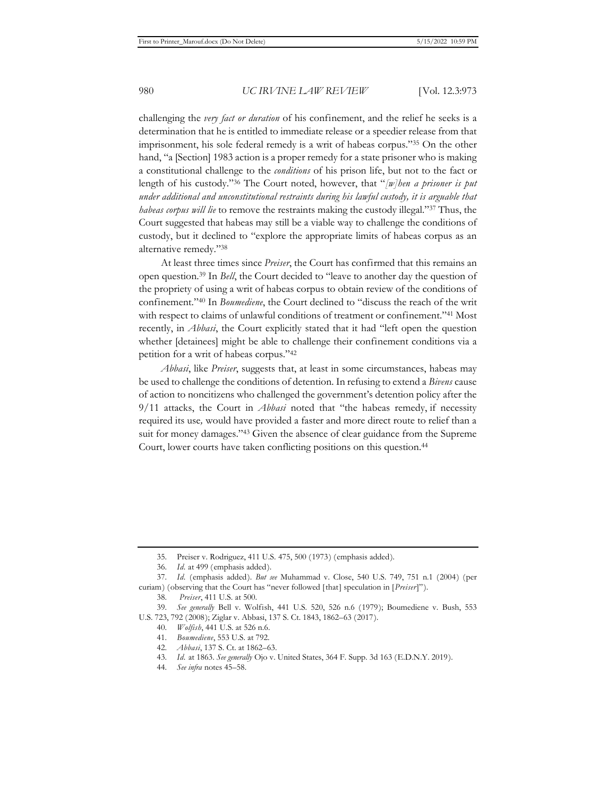challenging the *very fact or duration* of his confinement, and the relief he seeks is a determination that he is entitled to immediate release or a speedier release from that imprisonment, his sole federal remedy is a writ of habeas corpus."35 On the other hand, "a [Section] 1983 action is a proper remedy for a state prisoner who is making a constitutional challenge to the *conditions* of his prison life, but not to the fact or length of his custody."36 The Court noted, however, that "*[w]hen a prisoner is put under additional and unconstitutional restraints during his lawful custody, it is arguable that habeas corpus will lie* to remove the restraints making the custody illegal."37 Thus, the Court suggested that habeas may still be a viable way to challenge the conditions of custody, but it declined to "explore the appropriate limits of habeas corpus as an alternative remedy."38

At least three times since *Preiser*, the Court has confirmed that this remains an open question.39 In *Bell*, the Court decided to "leave to another day the question of the propriety of using a writ of habeas corpus to obtain review of the conditions of confinement."40 In *Boumediene*, the Court declined to "discuss the reach of the writ with respect to claims of unlawful conditions of treatment or confinement."<sup>41</sup> Most recently, in *Abbasi*, the Court explicitly stated that it had "left open the question whether [detainees] might be able to challenge their confinement conditions via a petition for a writ of habeas corpus."42

*Abbasi*, like *Preiser*, suggests that, at least in some circumstances, habeas may be used to challenge the conditions of detention. In refusing to extend a *Bivens* cause of action to noncitizens who challenged the government's detention policy after the 9/11 attacks, the Court in *Abbasi* noted that "the habeas remedy, if necessity required its use*,* would have provided a faster and more direct route to relief than a suit for money damages."43 Given the absence of clear guidance from the Supreme Court, lower courts have taken conflicting positions on this question.<sup>44</sup>

<sup>35.</sup> Preiser v. Rodriguez, 411 U.S. 475, 500 (1973) (emphasis added).

<sup>36.</sup> *Id.* at 499 (emphasis added).

<sup>37.</sup> *Id.* (emphasis added). *But see* Muhammad v. Close, 540 U.S. 749, 751 n.1 (2004) (per curiam) (observing that the Court has "never followed [that] speculation in [*Preiser*]").

<sup>38.</sup> *Preiser*, 411 U.S. at 500.

<sup>39.</sup> *See generally* Bell v. Wolfish, 441 U.S. 520, 526 n.6 (1979); Boumediene v. Bush, 553 U.S. 723, 792 (2008); Ziglar v. Abbasi, 137 S. Ct. 1843, 1862–63 (2017).

<sup>40.</sup> *Wolfish*, 441 U.S. at 526 n.6.

<sup>41.</sup> *Boumediene*, 553 U.S. at 792.

<sup>42.</sup> *Abbasi*, 137 S. Ct. at 1862–63.

<sup>43.</sup> *Id.* at 1863. *See generally* Ojo v. United States, 364 F. Supp. 3d 163 (E.D.N.Y. 2019).

<sup>44.</sup> *See infra* notes 45–58.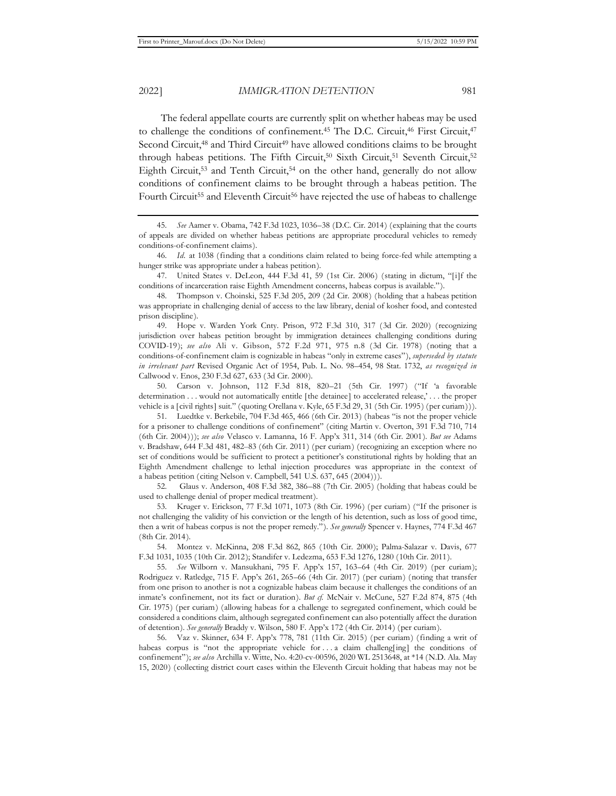2022] *IMMIGRATION DETENTION* 981

The federal appellate courts are currently split on whether habeas may be used to challenge the conditions of confinement.<sup>45</sup> The D.C. Circuit,<sup>46</sup> First Circuit,<sup>47</sup> Second Circuit,<sup>48</sup> and Third Circuit<sup>49</sup> have allowed conditions claims to be brought through habeas petitions. The Fifth Circuit,<sup>50</sup> Sixth Circuit,<sup>51</sup> Seventh Circuit,<sup>52</sup> Eighth Circuit,<sup>53</sup> and Tenth Circuit,<sup>54</sup> on the other hand, generally do not allow conditions of confinement claims to be brought through a habeas petition. The Fourth Circuit<sup>55</sup> and Eleventh Circuit<sup>56</sup> have rejected the use of habeas to challenge

47. United States v. DeLeon, 444 F.3d 41, 59 (1st Cir. 2006) (stating in dictum, "[i]f the conditions of incarceration raise Eighth Amendment concerns, habeas corpus is available.").

49. Hope v. Warden York Cnty. Prison, 972 F.3d 310, 317 (3d Cir. 2020) (recognizing jurisdiction over habeas petition brought by immigration detainees challenging conditions during COVID-19); *see also* Ali v. Gibson, 572 F.2d 971, 975 n.8 (3d Cir. 1978) (noting that a conditions-of-confinement claim is cognizable in habeas "only in extreme cases"), *superseded by statute in irrelevant part* Revised Organic Act of 1954, Pub. L. No. 98–454, 98 Stat. 1732, *as recognized in* Callwood v. Enos, 230 F.3d 627, 633 (3d Cir. 2000).

50. Carson v. Johnson, 112 F.3d 818, 820–21 (5th Cir. 1997) ("If 'a favorable determination . . . would not automatically entitle [the detainee] to accelerated release,' . . . the proper vehicle is a [civil rights] suit." (quoting Orellana v. Kyle, 65 F.3d 29, 31 (5th Cir. 1995) (per curiam))).

51. Luedtke v. Berkebile, 704 F.3d 465, 466 (6th Cir. 2013) (habeas "is not the proper vehicle for a prisoner to challenge conditions of confinement" (citing Martin v. Overton, 391 F.3d 710, 714 (6th Cir. 2004))); *see also* Velasco v. Lamanna, 16 F. App'x 311, 314 (6th Cir. 2001). *But see* Adams v. Bradshaw, 644 F.3d 481, 482–83 (6th Cir. 2011) (per curiam) (recognizing an exception where no set of conditions would be sufficient to protect a petitioner's constitutional rights by holding that an Eighth Amendment challenge to lethal injection procedures was appropriate in the context of a habeas petition (citing Nelson v. Campbell, 541 U.S. 637, 645 (2004))).

52. Glaus v. Anderson, 408 F.3d 382, 386–88 (7th Cir. 2005) (holding that habeas could be used to challenge denial of proper medical treatment).

53. Kruger v. Erickson, 77 F.3d 1071, 1073 (8th Cir. 1996) (per curiam) ("If the prisoner is not challenging the validity of his conviction or the length of his detention, such as loss of good time, then a writ of habeas corpus is not the proper remedy."). *See generally* Spencer v. Haynes, 774 F.3d 467 (8th Cir. 2014).

54. Montez v. McKinna, 208 F.3d 862, 865 (10th Cir. 2000); Palma-Salazar v. Davis, 677 F.3d 1031, 1035 (10th Cir. 2012); Standifer v. Ledezma, 653 F.3d 1276, 1280 (10th Cir. 2011).

55. *See* Wilborn v. Mansukhani, 795 F. App'x 157, 163–64 (4th Cir. 2019) (per curiam); Rodriguez v. Ratledge, 715 F. App'x 261, 265–66 (4th Cir. 2017) (per curiam) (noting that transfer from one prison to another is not a cognizable habeas claim because it challenges the conditions of an inmate's confinement, not its fact or duration). *But cf.* McNair v. McCune, 527 F.2d 874, 875 (4th Cir. 1975) (per curiam) (allowing habeas for a challenge to segregated confinement, which could be considered a conditions claim, although segregated confinement can also potentially affect the duration of detention). *See generally* Braddy v. Wilson, 580 F. App'x 172 (4th Cir. 2014) (per curiam).

56. Vaz v. Skinner, 634 F. App'x 778, 781 (11th Cir. 2015) (per curiam) (finding a writ of habeas corpus is "not the appropriate vehicle for . . . a claim challeng[ing] the conditions of confinement"); *see also* Archilla v. Witte, No. 4:20-cv-00596, 2020 WL 2513648, at \*14 (N.D. Ala. May 15, 2020) (collecting district court cases within the Eleventh Circuit holding that habeas may not be

<sup>45.</sup> *See* Aamer v. Obama, 742 F.3d 1023, 1036–38 (D.C. Cir. 2014) (explaining that the courts of appeals are divided on whether habeas petitions are appropriate procedural vehicles to remedy conditions-of-confinement claims).

<sup>46.</sup> *Id.* at 1038 (finding that a conditions claim related to being force-fed while attempting a hunger strike was appropriate under a habeas petition).

<sup>48.</sup> Thompson v. Choinski, 525 F.3d 205, 209 (2d Cir. 2008) (holding that a habeas petition was appropriate in challenging denial of access to the law library, denial of kosher food, and contested prison discipline).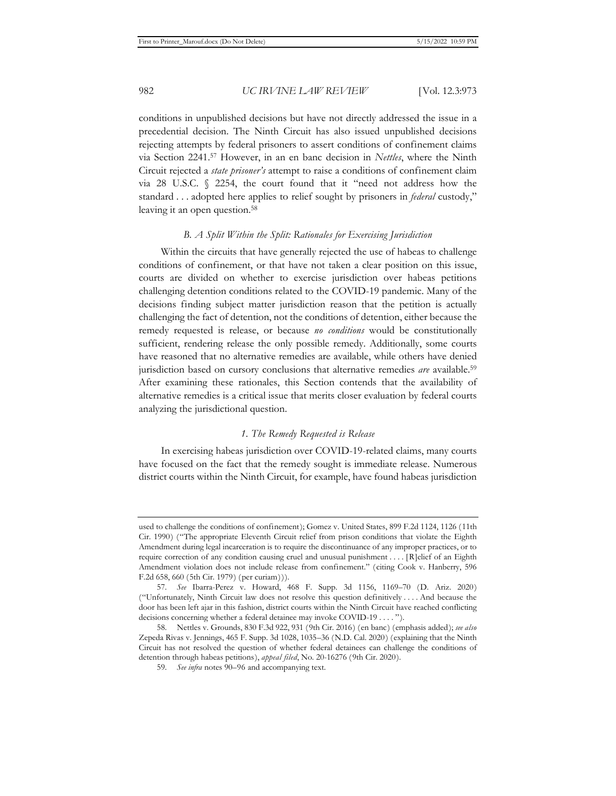conditions in unpublished decisions but have not directly addressed the issue in a precedential decision. The Ninth Circuit has also issued unpublished decisions rejecting attempts by federal prisoners to assert conditions of confinement claims via Section 2241.57 However, in an en banc decision in *Nettles*, where the Ninth Circuit rejected a *state prisoner's* attempt to raise a conditions of confinement claim via 28 U.S.C. § 2254, the court found that it "need not address how the standard . . . adopted here applies to relief sought by prisoners in *federal* custody," leaving it an open question.<sup>58</sup>

#### *B. A Split Within the Split: Rationales for Exercising Jurisdiction*

Within the circuits that have generally rejected the use of habeas to challenge conditions of confinement, or that have not taken a clear position on this issue, courts are divided on whether to exercise jurisdiction over habeas petitions challenging detention conditions related to the COVID-19 pandemic. Many of the decisions finding subject matter jurisdiction reason that the petition is actually challenging the fact of detention, not the conditions of detention, either because the remedy requested is release, or because *no conditions* would be constitutionally sufficient, rendering release the only possible remedy. Additionally, some courts have reasoned that no alternative remedies are available, while others have denied jurisdiction based on cursory conclusions that alternative remedies *are* available.<sup>59</sup> After examining these rationales, this Section contends that the availability of alternative remedies is a critical issue that merits closer evaluation by federal courts analyzing the jurisdictional question.

## *1. The Remedy Requested is Release*

In exercising habeas jurisdiction over COVID-19-related claims, many courts have focused on the fact that the remedy sought is immediate release. Numerous district courts within the Ninth Circuit, for example, have found habeas jurisdiction

used to challenge the conditions of confinement); Gomez v. United States, 899 F.2d 1124, 1126 (11th Cir. 1990) ("The appropriate Eleventh Circuit relief from prison conditions that violate the Eighth Amendment during legal incarceration is to require the discontinuance of any improper practices, or to require correction of any condition causing cruel and unusual punishment . . . . [R]elief of an Eighth Amendment violation does not include release from confinement." (citing Cook v. Hanberry, 596 F.2d 658, 660 (5th Cir. 1979) (per curiam))).

<sup>57.</sup> *See* Ibarra-Perez v. Howard, 468 F. Supp. 3d 1156, 1169–70 (D. Ariz. 2020) ("Unfortunately, Ninth Circuit law does not resolve this question definitively . . . . And because the door has been left ajar in this fashion, district courts within the Ninth Circuit have reached conflicting decisions concerning whether a federal detainee may invoke COVID-19 . . . . ").

<sup>58.</sup> Nettles v. Grounds, 830 F.3d 922, 931 (9th Cir. 2016) (en banc) (emphasis added); *see also*  Zepeda Rivas v. Jennings, 465 F. Supp. 3d 1028, 1035–36 (N.D. Cal. 2020) (explaining that the Ninth Circuit has not resolved the question of whether federal detainees can challenge the conditions of detention through habeas petitions), *appeal filed*, No. 20-16276 (9th Cir. 2020).

<sup>59.</sup> *See infra* notes 90–96 and accompanying text.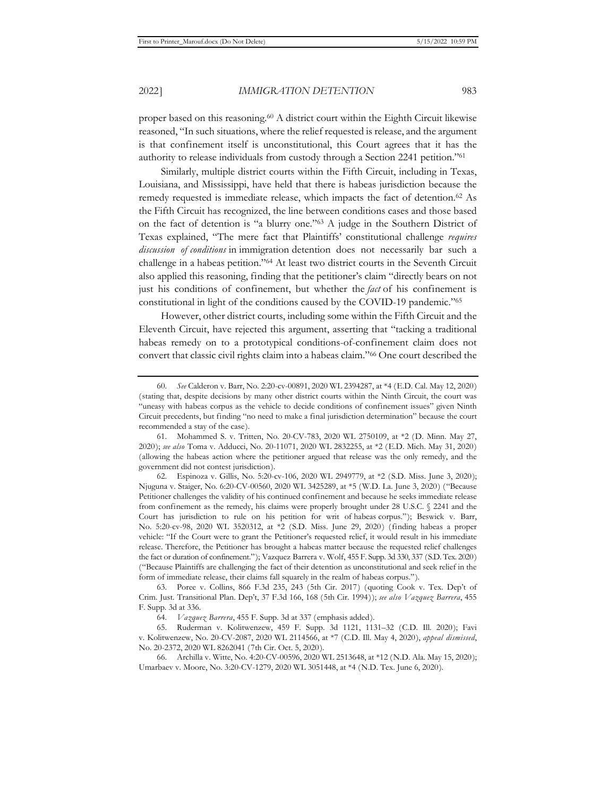proper based on this reasoning.<sup>60</sup> A district court within the Eighth Circuit likewise reasoned, "In such situations, where the relief requested is release, and the argument is that confinement itself is unconstitutional, this Court agrees that it has the authority to release individuals from custody through a Section 2241 petition."61

Similarly, multiple district courts within the Fifth Circuit, including in Texas, Louisiana, and Mississippi, have held that there is habeas jurisdiction because the remedy requested is immediate release, which impacts the fact of detention.62 As the Fifth Circuit has recognized, the line between conditions cases and those based on the fact of detention is "a blurry one."63 A judge in the Southern District of Texas explained, "The mere fact that Plaintiffs' constitutional challenge *requires discussion of conditions* in immigration detention does not necessarily bar such a challenge in a habeas petition."64 At least two district courts in the Seventh Circuit also applied this reasoning, finding that the petitioner's claim "directly bears on not just his conditions of confinement, but whether the *fact* of his confinement is constitutional in light of the conditions caused by the COVID-19 pandemic."65

However, other district courts, including some within the Fifth Circuit and the Eleventh Circuit, have rejected this argument, asserting that "tacking a traditional habeas remedy on to a prototypical conditions-of-confinement claim does not convert that classic civil rights claim into a habeas claim."66 One court described the

<sup>60.</sup> *See* Calderon v. Barr, No. 2:20-cv-00891, 2020 WL 2394287, at \*4 (E.D. Cal. May 12, 2020) (stating that, despite decisions by many other district courts within the Ninth Circuit, the court was "uneasy with habeas corpus as the vehicle to decide conditions of confinement issues" given Ninth Circuit precedents, but finding "no need to make a final jurisdiction determination" because the court recommended a stay of the case).

<sup>61.</sup> Mohammed S. v. Tritten, No. 20-CV-783, 2020 WL 2750109, at \*2 (D. Minn. May 27, 2020); *see also* Toma v. Adducci, No. 20-11071, 2020 WL 2832255, at \*2 (E.D. Mich. May 31, 2020) (allowing the habeas action where the petitioner argued that release was the only remedy, and the government did not contest jurisdiction).

<sup>62.</sup> Espinoza v. Gillis, No. 5:20-cv-106, 2020 WL 2949779, at \*2 (S.D. Miss. June 3, 2020); Njuguna v. Staiger, No. 6:20-CV-00560, 2020 WL 3425289, at \*5 (W.D. La. June 3, 2020) ("Because Petitioner challenges the validity of his continued confinement and because he seeks immediate release from confinement as the remedy, his claims were properly brought under 28 U.S.C. § 2241 and the Court has jurisdiction to rule on his petition for writ of habeas corpus."); Beswick v. Barr, No. 5:20-cv-98, 2020 WL 3520312, at \*2 (S.D. Miss. June 29, 2020) (finding habeas a proper vehicle: "If the Court were to grant the Petitioner's requested relief, it would result in his immediate release. Therefore, the Petitioner has brought a habeas matter because the requested relief challenges the fact or duration of confinement."); Vazquez Barrera v. Wolf, 455 F. Supp. 3d 330, 337 (S.D. Tex. 2020) ("Because Plaintiffs are challenging the fact of their detention as unconstitutional and seek relief in the form of immediate release, their claims fall squarely in the realm of habeas corpus.").

<sup>63.</sup> Poree v. Collins, 866 F.3d 235, 243 (5th Cir. 2017) (quoting Cook v. Tex. Dep't of Crim. Just. Transitional Plan. Dep't, 37 F.3d 166, 168 (5th Cir. 1994)); *see also Vazquez Barrera*, 455 F. Supp. 3d at 336.

<sup>64.</sup> *Vazquez Barrera*, 455 F. Supp. 3d at 337 (emphasis added).

<sup>65.</sup> Ruderman v. Kolitwenzew, 459 F. Supp. 3d 1121, 1131–32 (C.D. Ill. 2020); Favi v. Kolitwenzew, No. 20-CV-2087, 2020 WL 2114566, at \*7 (C.D. Ill. May 4, 2020), *appeal dismissed*, No. 20-2372, 2020 WL 8262041 (7th Cir. Oct. 5, 2020).

<sup>66.</sup> Archilla v. Witte, No. 4:20-CV-00596, 2020 WL 2513648, at \*12 (N.D. Ala. May 15, 2020); Umarbaev v. Moore, No. 3:20-CV-1279, 2020 WL 3051448, at \*4 (N.D. Tex. June 6, 2020).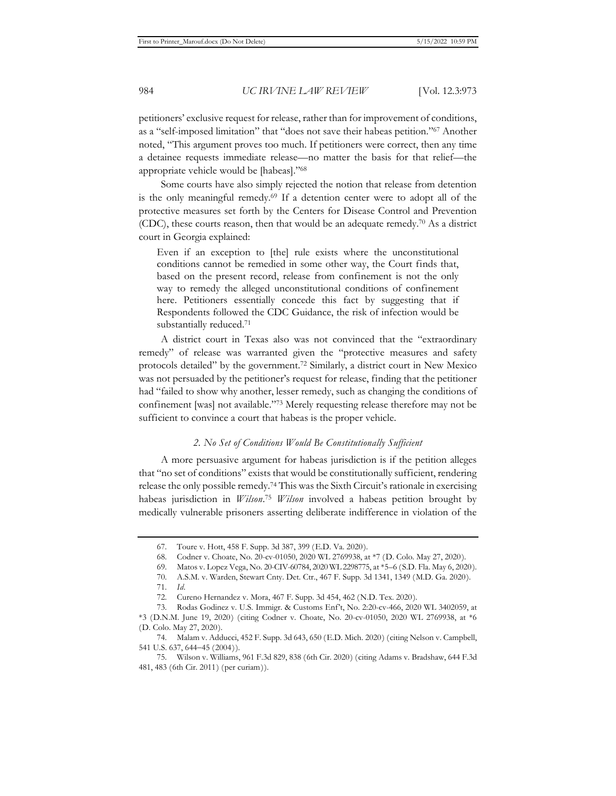petitioners' exclusive request for release, rather than for improvement of conditions, as a "self-imposed limitation" that "does not save their habeas petition."67 Another noted, "This argument proves too much. If petitioners were correct, then any time a detainee requests immediate release—no matter the basis for that relief—the appropriate vehicle would be [habeas]."68

Some courts have also simply rejected the notion that release from detention is the only meaningful remedy.69 If a detention center were to adopt all of the protective measures set forth by the Centers for Disease Control and Prevention (CDC), these courts reason, then that would be an adequate remedy.<sup>70</sup> As a district court in Georgia explained:

Even if an exception to [the] rule exists where the unconstitutional conditions cannot be remedied in some other way, the Court finds that, based on the present record, release from confinement is not the only way to remedy the alleged unconstitutional conditions of confinement here. Petitioners essentially concede this fact by suggesting that if Respondents followed the CDC Guidance, the risk of infection would be substantially reduced.71

A district court in Texas also was not convinced that the "extraordinary remedy" of release was warranted given the "protective measures and safety protocols detailed" by the government.72 Similarly, a district court in New Mexico was not persuaded by the petitioner's request for release, finding that the petitioner had "failed to show why another, lesser remedy, such as changing the conditions of confinement [was] not available."73 Merely requesting release therefore may not be sufficient to convince a court that habeas is the proper vehicle.

#### *2. No Set of Conditions Would Be Constitutionally Sufficient*

A more persuasive argument for habeas jurisdiction is if the petition alleges that "no set of conditions" exists that would be constitutionally sufficient, rendering release the only possible remedy.74 This was the Sixth Circuit's rationale in exercising habeas jurisdiction in *Wilson*. <sup>75</sup> *Wilson* involved a habeas petition brought by medically vulnerable prisoners asserting deliberate indifference in violation of the

<sup>67.</sup> Toure v. Hott, 458 F. Supp. 3d 387, 399 (E.D. Va. 2020).

<sup>68.</sup> Codner v. Choate, No. 20-cv-01050, 2020 WL 2769938, at \*7 (D. Colo. May 27, 2020).

<sup>69.</sup> Matos v. Lopez Vega, No. 20-CIV-60784, 2020 WL 2298775, at \*5–6 (S.D. Fla. May 6, 2020).

<sup>70.</sup> A.S.M. v. Warden, Stewart Cnty. Det. Ctr., 467 F. Supp. 3d 1341, 1349 (M.D. Ga. 2020).

<sup>71.</sup> *Id.*

<sup>72.</sup> Cureno Hernandez v. Mora, 467 F. Supp. 3d 454, 462 (N.D. Tex. 2020).

<sup>73.</sup> Rodas Godinez v. U.S. Immigr. & Customs Enf't, No. 2:20-cv-466, 2020 WL 3402059, at \*3 (D.N.M. June 19, 2020) (citing Codner v. Choate, No. 20-cv-01050, 2020 WL 2769938, at \*6 (D. Colo. May 27, 2020).

<sup>74.</sup> Malam v. Adducci, 452 F. Supp. 3d 643, 650 (E.D. Mich. 2020) (citing Nelson v. Campbell, 541 U.S. 637, 644-45 (2004)).

<sup>75.</sup> Wilson v. Williams, 961 F.3d 829, 838 (6th Cir. 2020) (citing Adams v. Bradshaw, 644 F.3d 481, 483 (6th Cir. 2011) (per curiam)).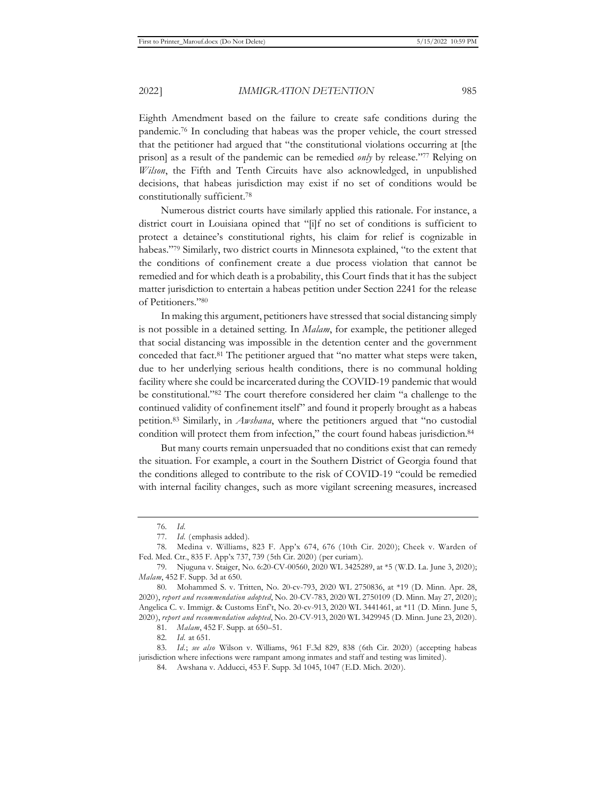Eighth Amendment based on the failure to create safe conditions during the pandemic.76 In concluding that habeas was the proper vehicle, the court stressed that the petitioner had argued that "the constitutional violations occurring at [the prison] as a result of the pandemic can be remedied *only* by release."77 Relying on *Wilson*, the Fifth and Tenth Circuits have also acknowledged, in unpublished decisions, that habeas jurisdiction may exist if no set of conditions would be constitutionally sufficient.78

Numerous district courts have similarly applied this rationale. For instance, a district court in Louisiana opined that "[i]f no set of conditions is sufficient to protect a detainee's constitutional rights, his claim for relief is cognizable in habeas."79 Similarly, two district courts in Minnesota explained, "to the extent that the conditions of confinement create a due process violation that cannot be remedied and for which death is a probability, this Court finds that it has the subject matter jurisdiction to entertain a habeas petition under Section 2241 for the release of Petitioners."80

In making this argument, petitioners have stressed that social distancing simply is not possible in a detained setting. In *Malam*, for example, the petitioner alleged that social distancing was impossible in the detention center and the government conceded that fact.81 The petitioner argued that "no matter what steps were taken, due to her underlying serious health conditions, there is no communal holding facility where she could be incarcerated during the COVID-19 pandemic that would be constitutional."82 The court therefore considered her claim "a challenge to the continued validity of confinement itself" and found it properly brought as a habeas petition.83 Similarly, in *Awshana*, where the petitioners argued that "no custodial condition will protect them from infection," the court found habeas jurisdiction.84

But many courts remain unpersuaded that no conditions exist that can remedy the situation. For example, a court in the Southern District of Georgia found that the conditions alleged to contribute to the risk of COVID-19 "could be remedied with internal facility changes, such as more vigilant screening measures, increased

82. *Id.* at 651.

<sup>76.</sup> *Id.* 

<sup>77.</sup> *Id.* (emphasis added).

<sup>78.</sup> Medina v. Williams, 823 F. App'x 674, 676 (10th Cir. 2020); Cheek v. Warden of Fed. Med. Ctr., 835 F. App'x 737, 739 (5th Cir. 2020) (per curiam).

<sup>79.</sup> Njuguna v. Staiger, No. 6:20-CV-00560, 2020 WL 3425289, at \*5 (W.D. La. June 3, 2020); *Malam*, 452 F. Supp. 3d at 650.

<sup>80.</sup> Mohammed S. v. Tritten, No. 20-cv-793, 2020 WL 2750836, at \*19 (D. Minn. Apr. 28, 2020), *report and recommendation adopted*, No. 20-CV-783, 2020 WL 2750109 (D. Minn. May 27, 2020); Angelica C. v. Immigr. & Customs Enf't, No. 20-cv-913, 2020 WL 3441461, at \*11 (D. Minn. June 5, 2020), *report and recommendation adopted*, No. 20-CV-913, 2020 WL 3429945 (D. Minn. June 23, 2020).

<sup>81.</sup> *Malam*, 452 F. Supp. at 650–51.

<sup>83.</sup> *Id.*; *see also* Wilson v. Williams, 961 F.3d 829, 838 (6th Cir. 2020) (accepting habeas jurisdiction where infections were rampant among inmates and staff and testing was limited).

<sup>84.</sup> Awshana v. Adducci, 453 F. Supp. 3d 1045, 1047 (E.D. Mich. 2020).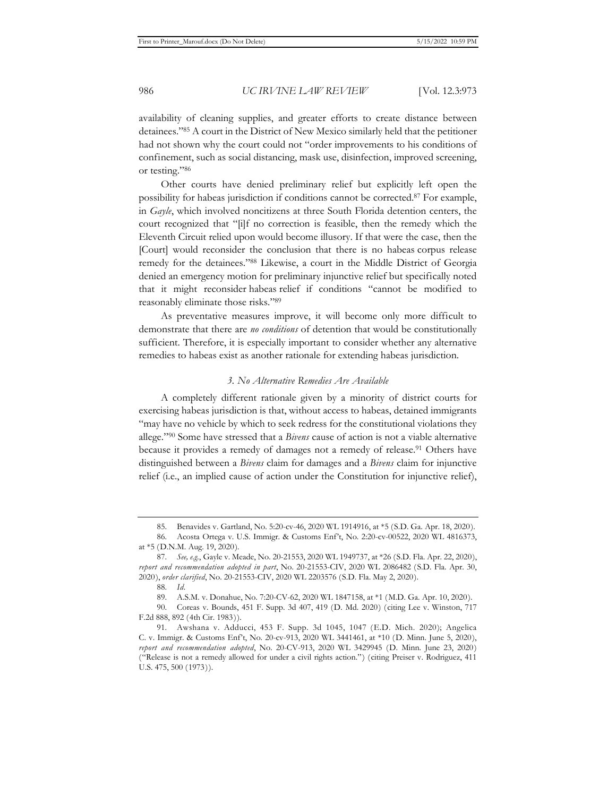availability of cleaning supplies, and greater efforts to create distance between detainees."85 A court in the District of New Mexico similarly held that the petitioner had not shown why the court could not "order improvements to his conditions of confinement, such as social distancing, mask use, disinfection, improved screening, or testing."86

Other courts have denied preliminary relief but explicitly left open the possibility for habeas jurisdiction if conditions cannot be corrected.87 For example, in *Gayle*, which involved noncitizens at three South Florida detention centers, the court recognized that "[i]f no correction is feasible, then the remedy which the Eleventh Circuit relied upon would become illusory. If that were the case, then the [Court] would reconsider the conclusion that there is no habeas corpus release remedy for the detainees."88 Likewise, a court in the Middle District of Georgia denied an emergency motion for preliminary injunctive relief but specifically noted that it might reconsider habeas relief if conditions "cannot be modified to reasonably eliminate those risks."89

As preventative measures improve, it will become only more difficult to demonstrate that there are *no conditions* of detention that would be constitutionally sufficient. Therefore, it is especially important to consider whether any alternative remedies to habeas exist as another rationale for extending habeas jurisdiction.

#### *3. No Alternative Remedies Are Available*

A completely different rationale given by a minority of district courts for exercising habeas jurisdiction is that, without access to habeas, detained immigrants "may have no vehicle by which to seek redress for the constitutional violations they allege."90 Some have stressed that a *Bivens* cause of action is not a viable alternative because it provides a remedy of damages not a remedy of release.<sup>91</sup> Others have distinguished between a *Bivens* claim for damages and a *Bivens* claim for injunctive relief (i.e., an implied cause of action under the Constitution for injunctive relief),

<sup>85.</sup> Benavides v. Gartland, No. 5:20-cv-46, 2020 WL 1914916, at \*5 (S.D. Ga. Apr. 18, 2020).

<sup>86.</sup> Acosta Ortega v. U.S. Immigr. & Customs Enf't, No. 2:20-cv-00522, 2020 WL 4816373, at \*5 (D.N.M. Aug. 19, 2020).

<sup>87.</sup> *See, e.g.*, Gayle v. Meade, No. 20-21553, 2020 WL 1949737, at \*26 (S.D. Fla. Apr. 22, 2020), *report and recommendation adopted in part*, No. 20-21553-CIV, 2020 WL 2086482 (S.D. Fla. Apr. 30, 2020), *order clarified*, No. 20-21553-CIV, 2020 WL 2203576 (S.D. Fla. May 2, 2020).

<sup>88.</sup> *Id.*

<sup>89.</sup> A.S.M. v. Donahue, No. 7:20-CV-62, 2020 WL 1847158, at \*1 (M.D. Ga. Apr. 10, 2020).

<sup>90.</sup> Coreas v. Bounds, 451 F. Supp. 3d 407, 419 (D. Md. 2020) (citing Lee v. Winston, 717 F.2d 888, 892 (4th Cir. 1983)).

<sup>91.</sup> Awshana v. Adducci, 453 F. Supp. 3d 1045, 1047 (E.D. Mich. 2020); Angelica C. v. Immigr. & Customs Enf't, No. 20-cv-913, 2020 WL 3441461, at \*10 (D. Minn. June 5, 2020), *report and recommendation adopted*, No. 20-CV-913, 2020 WL 3429945 (D. Minn. June 23, 2020) ("Release is not a remedy allowed for under a civil rights action.") (citing Preiser v. Rodriguez, 411 U.S. 475, 500 (1973)).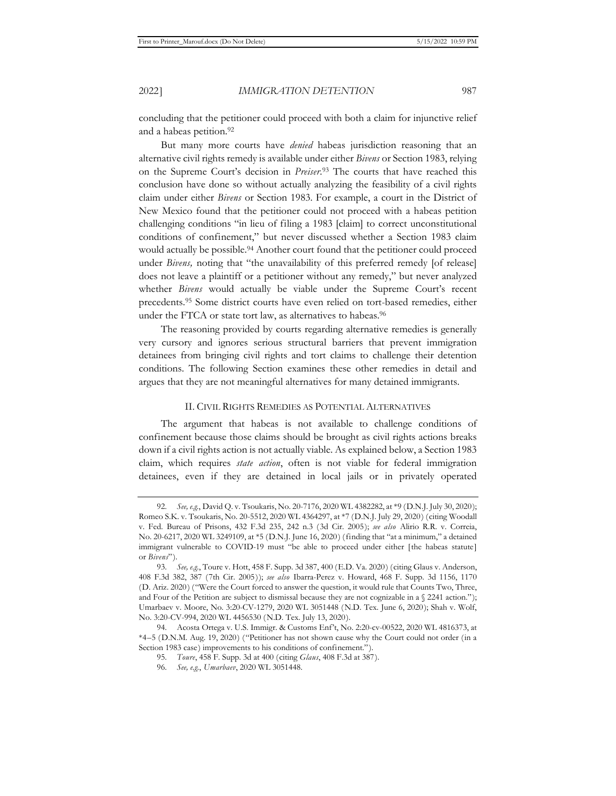concluding that the petitioner could proceed with both a claim for injunctive relief and a habeas petition.<sup>92</sup>

But many more courts have *denied* habeas jurisdiction reasoning that an alternative civil rights remedy is available under either *Bivens* or Section 1983, relying on the Supreme Court's decision in *Preiser*. 93 The courts that have reached this conclusion have done so without actually analyzing the feasibility of a civil rights claim under either *Bivens* or Section 1983. For example, a court in the District of New Mexico found that the petitioner could not proceed with a habeas petition challenging conditions "in lieu of filing a 1983 [claim] to correct unconstitutional conditions of confinement," but never discussed whether a Section 1983 claim would actually be possible.<sup>94</sup> Another court found that the petitioner could proceed under *Bivens,* noting that "the unavailability of this preferred remedy [of release] does not leave a plaintiff or a petitioner without any remedy," but never analyzed whether *Bivens* would actually be viable under the Supreme Court's recent precedents.95 Some district courts have even relied on tort-based remedies, either under the FTCA or state tort law, as alternatives to habeas.<sup>96</sup>

The reasoning provided by courts regarding alternative remedies is generally very cursory and ignores serious structural barriers that prevent immigration detainees from bringing civil rights and tort claims to challenge their detention conditions. The following Section examines these other remedies in detail and argues that they are not meaningful alternatives for many detained immigrants.

#### II. CIVIL RIGHTS REMEDIES AS POTENTIAL ALTERNATIVES

The argument that habeas is not available to challenge conditions of confinement because those claims should be brought as civil rights actions breaks down if a civil rights action is not actually viable. As explained below, a Section 1983 claim, which requires *state action*, often is not viable for federal immigration detainees, even if they are detained in local jails or in privately operated

<sup>92.</sup> *See, e.g.*, David Q. v. Tsoukaris, No. 20-7176, 2020 WL 4382282, at \*9 (D.N.J. July 30, 2020); Romeo S.K. v. Tsoukaris, No. 20-5512, 2020 WL 4364297, at \*7 (D.N.J. July 29, 2020) (citing Woodall v. Fed. Bureau of Prisons, 432 F.3d 235, 242 n.3 (3d Cir. 2005); *see also* Alirio R.R. v. Correia, No. 20-6217, 2020 WL 3249109, at \*5 (D.N.J. June 16, 2020) (finding that "at a minimum," a detained immigrant vulnerable to COVID-19 must "be able to proceed under either [the habeas statute] or *Bivens*").

<sup>93.</sup> *See, e.g.*, Toure v. Hott, 458 F. Supp. 3d 387, 400 (E.D. Va. 2020) (citing Glaus v. Anderson, 408 F.3d 382, 387 (7th Cir. 2005)); *see also* Ibarra-Perez v. Howard, 468 F. Supp. 3d 1156, 1170 (D. Ariz. 2020) ("Were the Court forced to answer the question, it would rule that Counts Two, Three, and Four of the Petition are subject to dismissal because they are not cognizable in a  $\S$  2241 action."); Umarbaev v. Moore, No. 3:20-CV-1279, 2020 WL 3051448 (N.D. Tex. June 6, 2020); Shah v. Wolf, No. 3:20-CV-994, 2020 WL 4456530 (N.D. Tex. July 13, 2020).

<sup>94.</sup> Acosta Ortega v. U.S. Immigr. & Customs Enf't, No. 2:20-cv-00522, 2020 WL 4816373, at \*4–5 (D.N.M. Aug. 19, 2020) ("Petitioner has not shown cause why the Court could not order (in a Section 1983 case) improvements to his conditions of confinement.").

<sup>95.</sup> *Toure*, 458 F. Supp. 3d at 400 (citing *Glaus*, 408 F.3d at 387).

<sup>96.</sup> *See, e.g.*, *Umarbaev*, 2020 WL 3051448.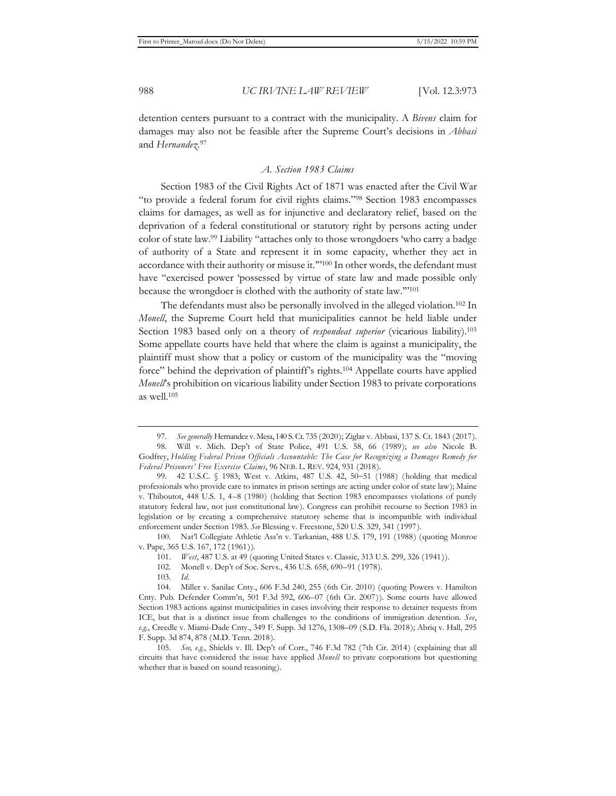detention centers pursuant to a contract with the municipality. A *Bivens* claim for damages may also not be feasible after the Supreme Court's decisions in *Abbasi*  and *Hernandez*. 97

#### *A. Section 1983 Claims*

Section 1983 of the Civil Rights Act of 1871 was enacted after the Civil War "to provide a federal forum for civil rights claims."98 Section 1983 encompasses claims for damages, as well as for injunctive and declaratory relief, based on the deprivation of a federal constitutional or statutory right by persons acting under color of state law.99 Liability "attaches only to those wrongdoers 'who carry a badge of authority of a State and represent it in some capacity, whether they act in accordance with their authority or misuse it.'"100 In other words, the defendant must have "exercised power 'possessed by virtue of state law and made possible only because the wrongdoer is clothed with the authority of state law.'"101

The defendants must also be personally involved in the alleged violation.102 In *Monell*, the Supreme Court held that municipalities cannot be held liable under Section 1983 based only on a theory of *respondeat superior* (vicarious liability).103 Some appellate courts have held that where the claim is against a municipality, the plaintiff must show that a policy or custom of the municipality was the "moving force" behind the deprivation of plaintiff's rights.104 Appellate courts have applied *Monell*'s prohibition on vicarious liability under Section 1983 to private corporations as well.105

100. Nat'l Collegiate Athletic Ass'n v. Tarkanian, 488 U.S. 179, 191 (1988) (quoting Monroe v. Pape, 365 U.S. 167, 172 (1961)).

101. *West*, 487 U.S. at 49 (quoting United States v. Classic, 313 U.S. 299, 326 (1941)).

<sup>97.</sup> *See generally* Hernandez v. Mesa, 140 S. Ct. 735 (2020); Ziglar v. Abbasi, 137 S. Ct. 1843 (2017).

<sup>98.</sup> Will v. Mich. Dep't of State Police, 491 U.S. 58, 66 (1989); *see also* Nicole B. Godfrey, *Holding Federal Prison Officials Accountable: The Case for Recognizing a Damages Remedy for Federal Prisoners' Free Exercise Claims*, 96 NEB. L. REV. 924, 931 (2018).

<sup>99. 42</sup> U.S.C. § 1983; West v. Atkins, 487 U.S. 42, 50-51 (1988) (holding that medical professionals who provide care to inmates in prison settings are acting under color of state law); Maine v. Thiboutot, 448 U.S. 1, 4–8 (1980) (holding that Section 1983 encompasses violations of purely statutory federal law, not just constitutional law). Congress can prohibit recourse to Section 1983 in legislation or by creating a comprehensive statutory scheme that is incompatible with individual enforcement under Section 1983. *See* Blessing v. Freestone, 520 U.S. 329, 341 (1997).

<sup>102.</sup> Monell v. Dep't of Soc. Servs., 436 U.S. 658, 690–91 (1978).

<sup>103.</sup> *Id.*

<sup>104.</sup> Miller v. Sanilac Cnty., 606 F.3d 240, 255 (6th Cir. 2010) (quoting Powers v. Hamilton Cnty. Pub. Defender Comm'n, 501 F.3d 592, 606–07 (6th Cir. 2007)). Some courts have allowed Section 1983 actions against municipalities in cases involving their response to detainer requests from ICE, but that is a distinct issue from challenges to the conditions of immigration detention. *See*, *e.g.*, Creedle v. Miami-Dade Cnty., 349 F. Supp. 3d 1276, 1308–09 (S.D. Fla. 2018); Abriq v. Hall, 295 F. Supp. 3d 874, 878 (M.D. Tenn. 2018).

<sup>105.</sup> *See, e.g.*, Shields v. Ill. Dep't of Corr., 746 F.3d 782 (7th Cir. 2014) (explaining that all circuits that have considered the issue have applied *Monell* to private corporations but questioning whether that is based on sound reasoning).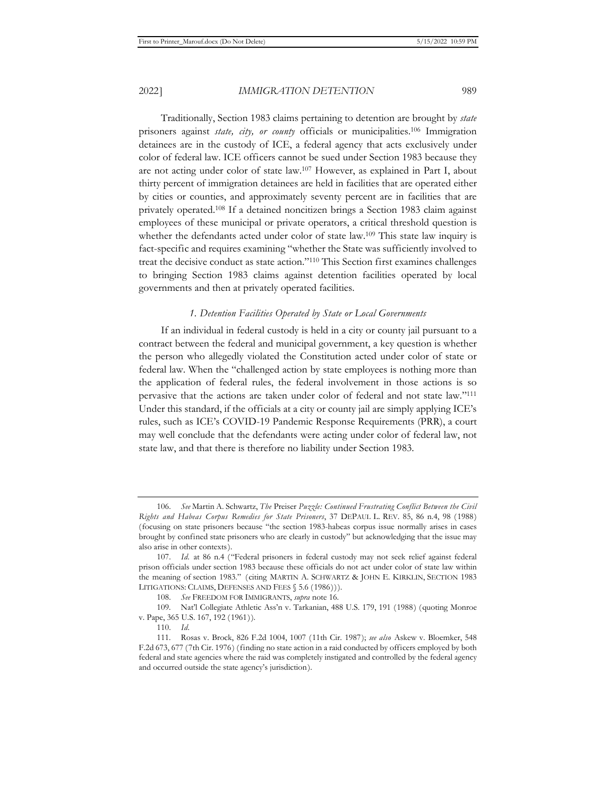Traditionally, Section 1983 claims pertaining to detention are brought by *state* prisoners against *state, city, or county* officials or municipalities.106 Immigration detainees are in the custody of ICE, a federal agency that acts exclusively under color of federal law. ICE officers cannot be sued under Section 1983 because they are not acting under color of state law.107 However, as explained in Part I, about thirty percent of immigration detainees are held in facilities that are operated either by cities or counties, and approximately seventy percent are in facilities that are privately operated.108 If a detained noncitizen brings a Section 1983 claim against employees of these municipal or private operators, a critical threshold question is whether the defendants acted under color of state law.<sup>109</sup> This state law inquiry is fact-specific and requires examining "whether the State was sufficiently involved to treat the decisive conduct as state action."110 This Section first examines challenges to bringing Section 1983 claims against detention facilities operated by local governments and then at privately operated facilities.

#### *1. Detention Facilities Operated by State or Local Governments*

If an individual in federal custody is held in a city or county jail pursuant to a contract between the federal and municipal government, a key question is whether the person who allegedly violated the Constitution acted under color of state or federal law. When the "challenged action by state employees is nothing more than the application of federal rules, the federal involvement in those actions is so pervasive that the actions are taken under color of federal and not state law."111 Under this standard, if the officials at a city or county jail are simply applying ICE's rules, such as ICE's COVID-19 Pandemic Response Requirements (PRR), a court may well conclude that the defendants were acting under color of federal law, not state law, and that there is therefore no liability under Section 1983.

<sup>106.</sup> *See* Martin A. Schwartz, *The* Preiser *Puzzle: Continued Frustrating Conflict Between the Civil Rights and Habeas Corpus Remedies for State Prisoners*, 37 DEPAUL L. REV. 85, 86 n.4, 98 (1988) (focusing on state prisoners because "the section 1983-habeas corpus issue normally arises in cases brought by confined state prisoners who are clearly in custody" but acknowledging that the issue may also arise in other contexts).

<sup>107.</sup> *Id.* at 86 n.4 ("Federal prisoners in federal custody may not seek relief against federal prison officials under section 1983 because these officials do not act under color of state law within the meaning of section 1983." (citing MARTIN A. SCHWARTZ & JOHN E. KIRKLIN, SECTION 1983 LITIGATIONS: CLAIMS, DEFENSES AND FEES  $$5.6 (1986))$ .

<sup>108.</sup> *See* FREEDOM FOR IMMIGRANTS, *supra* note 16.

<sup>109.</sup> Nat'l Collegiate Athletic Ass'n v. Tarkanian, 488 U.S. 179, 191 (1988) (quoting Monroe v. Pape, 365 U.S. 167, 192 (1961)).

<sup>110.</sup> *Id.*

<sup>111.</sup> Rosas v. Brock, 826 F.2d 1004, 1007 (11th Cir. 1987); *see also* Askew v. Bloemker, 548 F.2d 673, 677 (7th Cir. 1976) (finding no state action in a raid conducted by officers employed by both federal and state agencies where the raid was completely instigated and controlled by the federal agency and occurred outside the state agency's jurisdiction).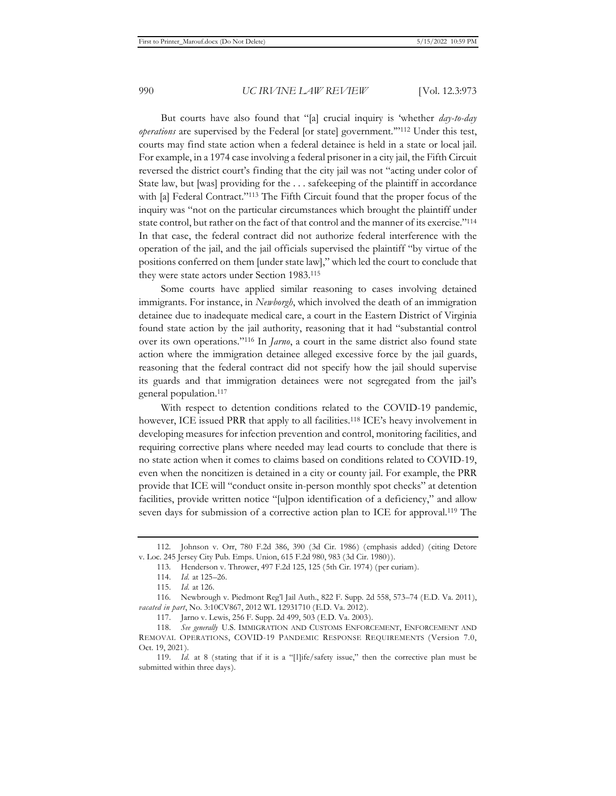But courts have also found that "[a] crucial inquiry is 'whether *day-to-day operations* are supervised by the Federal [or state] government.'"112 Under this test, courts may find state action when a federal detainee is held in a state or local jail. For example, in a 1974 case involving a federal prisoner in a city jail, the Fifth Circuit reversed the district court's finding that the city jail was not "acting under color of State law, but [was] providing for the . . . safekeeping of the plaintiff in accordance with [a] Federal Contract."<sup>113</sup> The Fifth Circuit found that the proper focus of the inquiry was "not on the particular circumstances which brought the plaintiff under state control, but rather on the fact of that control and the manner of its exercise."114 In that case, the federal contract did not authorize federal interference with the operation of the jail, and the jail officials supervised the plaintiff "by virtue of the positions conferred on them [under state law]," which led the court to conclude that they were state actors under Section 1983.115

Some courts have applied similar reasoning to cases involving detained immigrants. For instance, in *Newborgh*, which involved the death of an immigration detainee due to inadequate medical care, a court in the Eastern District of Virginia found state action by the jail authority, reasoning that it had "substantial control over its own operations."116 In *Jarno*, a court in the same district also found state action where the immigration detainee alleged excessive force by the jail guards, reasoning that the federal contract did not specify how the jail should supervise its guards and that immigration detainees were not segregated from the jail's general population.117

With respect to detention conditions related to the COVID-19 pandemic, however, ICE issued PRR that apply to all facilities.<sup>118</sup> ICE's heavy involvement in developing measures for infection prevention and control, monitoring facilities, and requiring corrective plans where needed may lead courts to conclude that there is no state action when it comes to claims based on conditions related to COVID-19, even when the noncitizen is detained in a city or county jail. For example, the PRR provide that ICE will "conduct onsite in-person monthly spot checks" at detention facilities, provide written notice "[u]pon identification of a deficiency," and allow seven days for submission of a corrective action plan to ICE for approval.<sup>119</sup> The

<sup>112.</sup> Johnson v. Orr, 780 F.2d 386, 390 (3d Cir. 1986) (emphasis added) (citing Detore v. Loc. 245 Jersey City Pub. Emps. Union, 615 F.2d 980, 983 (3d Cir. 1980)).

<sup>113.</sup> Henderson v. Thrower, 497 F.2d 125, 125 (5th Cir. 1974) (per curiam).

<sup>114.</sup> *Id.* at 125–26.

<sup>115.</sup> *Id.* at 126.

<sup>116.</sup> Newbrough v. Piedmont Reg'l Jail Auth., 822 F. Supp. 2d 558, 573–74 (E.D. Va. 2011), *vacated in part*, No. 3:10CV867, 2012 WL 12931710 (E.D. Va. 2012).

<sup>117.</sup> Jarno v. Lewis, 256 F. Supp. 2d 499, 503 (E.D. Va. 2003).

<sup>118.</sup> *See generally* U.S. IMMIGRATION AND CUSTOMS ENFORCEMENT, ENFORCEMENT AND REMOVAL OPERATIONS, COVID-19 PANDEMIC RESPONSE REQUIREMENTS (Version 7.0, Oct. 19, 2021).

<sup>119.</sup> *Id.* at 8 (stating that if it is a "[l]ife/safety issue," then the corrective plan must be submitted within three days).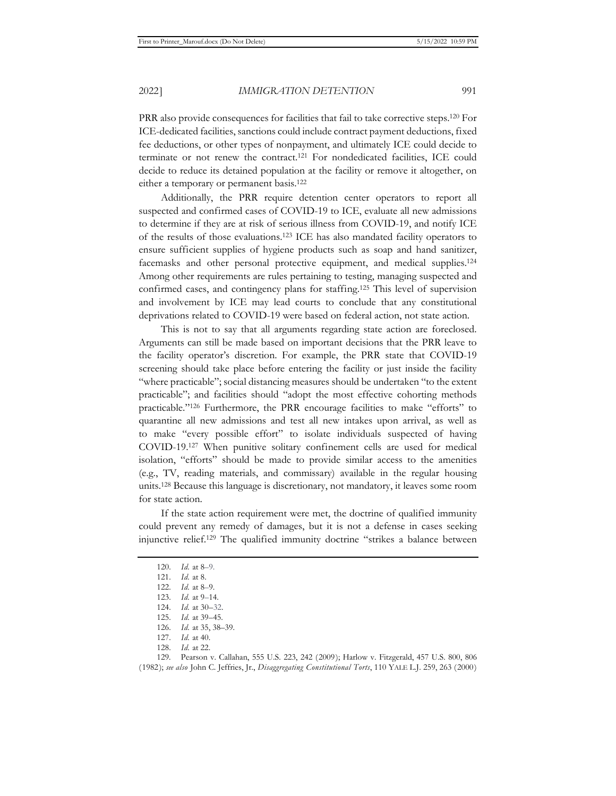PRR also provide consequences for facilities that fail to take corrective steps.120 For ICE-dedicated facilities, sanctions could include contract payment deductions, fixed fee deductions, or other types of nonpayment, and ultimately ICE could decide to terminate or not renew the contract.121 For nondedicated facilities, ICE could decide to reduce its detained population at the facility or remove it altogether, on either a temporary or permanent basis.122

Additionally, the PRR require detention center operators to report all suspected and confirmed cases of COVID-19 to ICE, evaluate all new admissions to determine if they are at risk of serious illness from COVID-19, and notify ICE of the results of those evaluations.123 ICE has also mandated facility operators to ensure sufficient supplies of hygiene products such as soap and hand sanitizer, facemasks and other personal protective equipment, and medical supplies.124 Among other requirements are rules pertaining to testing, managing suspected and confirmed cases, and contingency plans for staffing.125 This level of supervision and involvement by ICE may lead courts to conclude that any constitutional deprivations related to COVID-19 were based on federal action, not state action.

This is not to say that all arguments regarding state action are foreclosed. Arguments can still be made based on important decisions that the PRR leave to the facility operator's discretion. For example, the PRR state that COVID-19 screening should take place before entering the facility or just inside the facility "where practicable"; social distancing measures should be undertaken "to the extent practicable"; and facilities should "adopt the most effective cohorting methods practicable."126 Furthermore, the PRR encourage facilities to make "efforts" to quarantine all new admissions and test all new intakes upon arrival, as well as to make "every possible effort" to isolate individuals suspected of having COVID-19.127 When punitive solitary confinement cells are used for medical isolation, "efforts" should be made to provide similar access to the amenities (e.g., TV, reading materials, and commissary) available in the regular housing units.128 Because this language is discretionary, not mandatory, it leaves some room for state action.

If the state action requirement were met, the doctrine of qualified immunity could prevent any remedy of damages, but it is not a defense in cases seeking injunctive relief.129 The qualified immunity doctrine "strikes a balance between

<sup>120.</sup> *Id.* at 8–9.

<sup>121.</sup> *Id.* at 8.

<sup>122.</sup> *Id.* at 8–9.

<sup>123.</sup> *Id.* at 9–14.

<sup>124.</sup> *Id.* at 30–32.

<sup>125.</sup> *Id.* at 39–45.

<sup>126.</sup> *Id.* at 35, 38–39.

<sup>127.</sup> *Id.* at 40.

<sup>128.</sup> *Id.* at 22.

<sup>129.</sup> Pearson v. Callahan, 555 U.S. 223, 242 (2009); Harlow v. Fitzgerald, 457 U.S. 800, 806 (1982); *see also* John C. Jeffries, Jr., *Disaggregating Constitutional Torts*, 110 YALE L.J. 259, 263 (2000)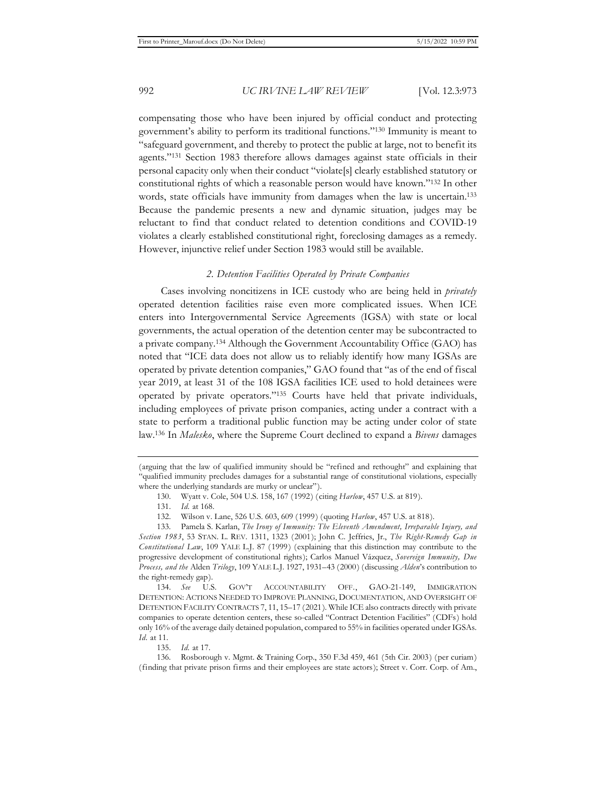compensating those who have been injured by official conduct and protecting government's ability to perform its traditional functions."130 Immunity is meant to "safeguard government, and thereby to protect the public at large, not to benefit its agents."131 Section 1983 therefore allows damages against state officials in their personal capacity only when their conduct "violate[s] clearly established statutory or constitutional rights of which a reasonable person would have known."132 In other words, state officials have immunity from damages when the law is uncertain.<sup>133</sup> Because the pandemic presents a new and dynamic situation, judges may be reluctant to find that conduct related to detention conditions and COVID-19 violates a clearly established constitutional right, foreclosing damages as a remedy. However, injunctive relief under Section 1983 would still be available.

#### *2. Detention Facilities Operated by Private Companies*

Cases involving noncitizens in ICE custody who are being held in *privately* operated detention facilities raise even more complicated issues. When ICE enters into Intergovernmental Service Agreements (IGSA) with state or local governments, the actual operation of the detention center may be subcontracted to a private company.134 Although the Government Accountability Office (GAO) has noted that "ICE data does not allow us to reliably identify how many IGSAs are operated by private detention companies," GAO found that "as of the end of fiscal year 2019, at least 31 of the 108 IGSA facilities ICE used to hold detainees were operated by private operators."135 Courts have held that private individuals, including employees of private prison companies, acting under a contract with a state to perform a traditional public function may be acting under color of state law.136 In *Malesko*, where the Supreme Court declined to expand a *Bivens* damages

<sup>(</sup>arguing that the law of qualified immunity should be "refined and rethought" and explaining that "qualified immunity precludes damages for a substantial range of constitutional violations, especially where the underlying standards are murky or unclear").

<sup>130.</sup> Wyatt v. Cole, 504 U.S. 158, 167 (1992) (citing *Harlow*, 457 U.S. at 819).

<sup>131.</sup> *Id.* at 168.

<sup>132.</sup> Wilson v. Lane, 526 U.S. 603, 609 (1999) (quoting *Harlow*, 457 U.S. at 818).

<sup>133.</sup> Pamela S. Karlan, *The Irony of Immunity: The Eleventh Amendment, Irreparable Injury, and Section 1983*, 53 STAN. L. REV. 1311, 1323 (2001); John C. Jeffries, Jr., *The Right-Remedy Gap in Constitutional Law*, 109 YALE L.J. 87 (1999) (explaining that this distinction may contribute to the progressive development of constitutional rights); Carlos Manuel Vázquez, *Sovereign Immunity, Due Process, and the* Alden *Trilogy*, 109 YALE L.J. 1927, 1931–43 (2000) (discussing *Alden*'s contribution to the right-remedy gap).

<sup>134.</sup> *See* U.S. GOV'T ACCOUNTABILITY OFF., GAO-21-149, IMMIGRATION DETENTION: ACTIONS NEEDED TO IMPROVE PLANNING, DOCUMENTATION, AND OVERSIGHT OF DETENTION FACILITY CONTRACTS 7, 11, 15–17 (2021). While ICE also contracts directly with private companies to operate detention centers, these so-called "Contract Detention Facilities" (CDFs) hold only 16% of the average daily detained population, compared to 55% in facilities operated under IGSAs. *Id.* at 11.

<sup>135.</sup> *Id.* at 17.

<sup>136.</sup> Rosborough v. Mgmt. & Training Corp., 350 F.3d 459, 461 (5th Cir. 2003) (per curiam) (finding that private prison firms and their employees are state actors); Street v. Corr. Corp. of Am.,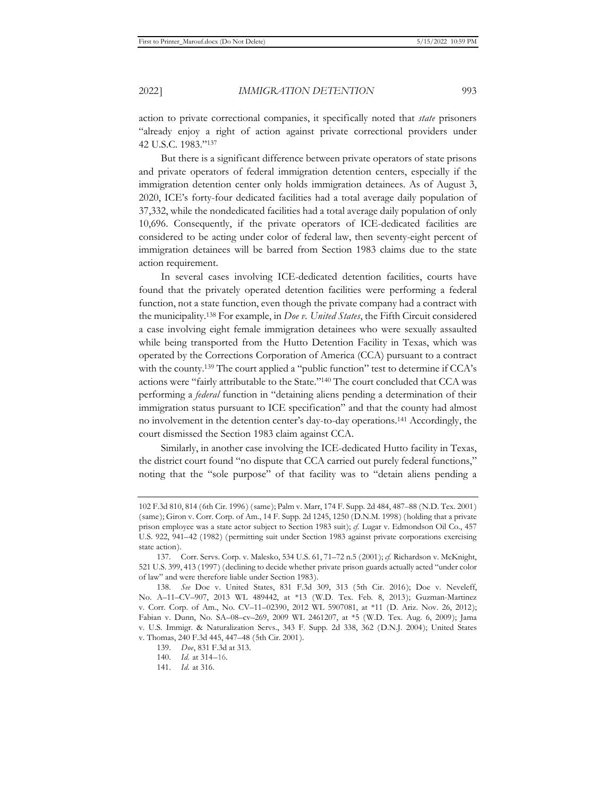action to private correctional companies, it specifically noted that *state* prisoners "already enjoy a right of action against private correctional providers under 42 U.S.C. 1983."137

But there is a significant difference between private operators of state prisons and private operators of federal immigration detention centers, especially if the immigration detention center only holds immigration detainees. As of August 3, 2020, ICE's forty-four dedicated facilities had a total average daily population of 37,332, while the nondedicated facilities had a total average daily population of only 10,696. Consequently, if the private operators of ICE-dedicated facilities are considered to be acting under color of federal law, then seventy-eight percent of immigration detainees will be barred from Section 1983 claims due to the state action requirement.

In several cases involving ICE-dedicated detention facilities, courts have found that the privately operated detention facilities were performing a federal function, not a state function, even though the private company had a contract with the municipality.138 For example, in *Doe v. United States*, the Fifth Circuit considered a case involving eight female immigration detainees who were sexually assaulted while being transported from the Hutto Detention Facility in Texas, which was operated by the Corrections Corporation of America (CCA) pursuant to a contract with the county.<sup>139</sup> The court applied a "public function" test to determine if CCA's actions were "fairly attributable to the State."140 The court concluded that CCA was performing a *federal* function in "detaining aliens pending a determination of their immigration status pursuant to ICE specification" and that the county had almost no involvement in the detention center's day-to-day operations.141 Accordingly, the court dismissed the Section 1983 claim against CCA.

Similarly, in another case involving the ICE-dedicated Hutto facility in Texas, the district court found "no dispute that CCA carried out purely federal functions," noting that the "sole purpose" of that facility was to "detain aliens pending a

<sup>102</sup> F.3d 810, 814 (6th Cir. 1996) (same); Palm v. Marr, 174 F. Supp. 2d 484, 487–88 (N.D. Tex. 2001) (same); Giron v. Corr. Corp. of Am., 14 F. Supp. 2d 1245, 1250 (D.N.M. 1998) (holding that a private prison employee was a state actor subject to Section 1983 suit); *cf.* Lugar v. Edmondson Oil Co., 457 U.S. 922, 941–42 (1982) (permitting suit under Section 1983 against private corporations exercising state action).

<sup>137.</sup> Corr. Servs. Corp. v. Malesko, 534 U.S. 61, 71–72 n.5 (2001); *cf.* Richardson v. McKnight, 521 U.S. 399, 413 (1997) (declining to decide whether private prison guards actually acted "under color of law" and were therefore liable under Section 1983).

<sup>138.</sup> *See* Doe v. United States, 831 F.3d 309, 313 (5th Cir. 2016); Doe v. Neveleff, No. A–11–CV–907, 2013 WL 489442, at \*13 (W.D. Tex. Feb. 8, 2013); Guzman-Martinez v. Corr. Corp. of Am., No. CV–11–02390, 2012 WL 5907081, at \*11 (D. Ariz. Nov. 26, 2012); Fabian v. Dunn, No. SA–08–cv–269, 2009 WL 2461207, at \*5 (W.D. Tex. Aug. 6, 2009); Jama v. U.S. Immigr. & Naturalization Servs., 343 F. Supp. 2d 338, 362 (D.N.J. 2004); United States v. Thomas, 240 F.3d 445, 447–48 (5th Cir. 2001).

<sup>139.</sup> *Doe*, 831 F.3d at 313.

<sup>140.</sup> *Id.* at 314–16.

<sup>141.</sup> *Id.* at 316.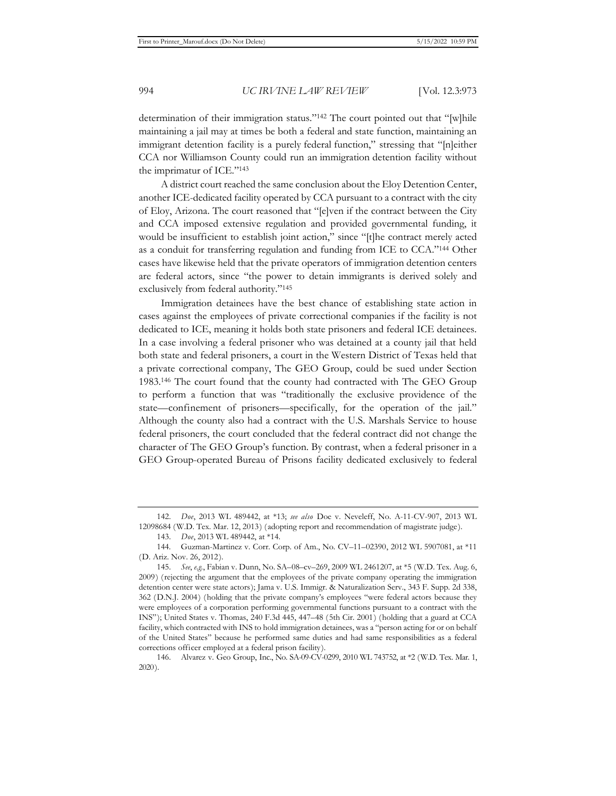determination of their immigration status."142 The court pointed out that "[w]hile maintaining a jail may at times be both a federal and state function, maintaining an immigrant detention facility is a purely federal function," stressing that "[n]either CCA nor Williamson County could run an immigration detention facility without the imprimatur of ICE."143

A district court reached the same conclusion about the Eloy Detention Center, another ICE-dedicated facility operated by CCA pursuant to a contract with the city of Eloy, Arizona. The court reasoned that "[e]ven if the contract between the City and CCA imposed extensive regulation and provided governmental funding, it would be insufficient to establish joint action," since "[t]he contract merely acted as a conduit for transferring regulation and funding from ICE to CCA."144 Other cases have likewise held that the private operators of immigration detention centers are federal actors, since "the power to detain immigrants is derived solely and exclusively from federal authority."145

Immigration detainees have the best chance of establishing state action in cases against the employees of private correctional companies if the facility is not dedicated to ICE, meaning it holds both state prisoners and federal ICE detainees. In a case involving a federal prisoner who was detained at a county jail that held both state and federal prisoners, a court in the Western District of Texas held that a private correctional company, The GEO Group, could be sued under Section 1983.146 The court found that the county had contracted with The GEO Group to perform a function that was "traditionally the exclusive providence of the state—confinement of prisoners—specifically, for the operation of the jail." Although the county also had a contract with the U.S. Marshals Service to house federal prisoners, the court concluded that the federal contract did not change the character of The GEO Group's function. By contrast, when a federal prisoner in a GEO Group-operated Bureau of Prisons facility dedicated exclusively to federal

<sup>142.</sup> *Doe*, 2013 WL 489442, at \*13; *see also* Doe v. Neveleff, No. A-11-CV-907, 2013 WL 12098684 (W.D. Tex. Mar. 12, 2013) (adopting report and recommendation of magistrate judge).

<sup>143.</sup> *Doe*, 2013 WL 489442, at \*14.

<sup>144.</sup> Guzman-Martinez v. Corr. Corp. of Am., No. CV–11–02390, 2012 WL 5907081, at \*11 (D. Ariz. Nov. 26, 2012).

<sup>145.</sup> *See*, *e.g.*, Fabian v. Dunn, No. SA–08–cv–269, 2009 WL 2461207, at \*5 (W.D. Tex. Aug. 6, 2009) (rejecting the argument that the employees of the private company operating the immigration detention center were state actors); Jama v. U.S. Immigr. & Naturalization Serv., 343 F. Supp. 2d 338, 362 (D.N.J. 2004) (holding that the private company's employees "were federal actors because they were employees of a corporation performing governmental functions pursuant to a contract with the INS"); United States v. Thomas, 240 F.3d 445, 447–48 (5th Cir. 2001) (holding that a guard at CCA facility, which contracted with INS to hold immigration detainees, was a "person acting for or on behalf of the United States" because he performed same duties and had same responsibilities as a federal corrections officer employed at a federal prison facility).

<sup>146.</sup> Alvarez v. Geo Group, Inc., No. SA-09-CV-0299, 2010 WL 743752, at \*2 (W.D. Tex. Mar. 1, 2020).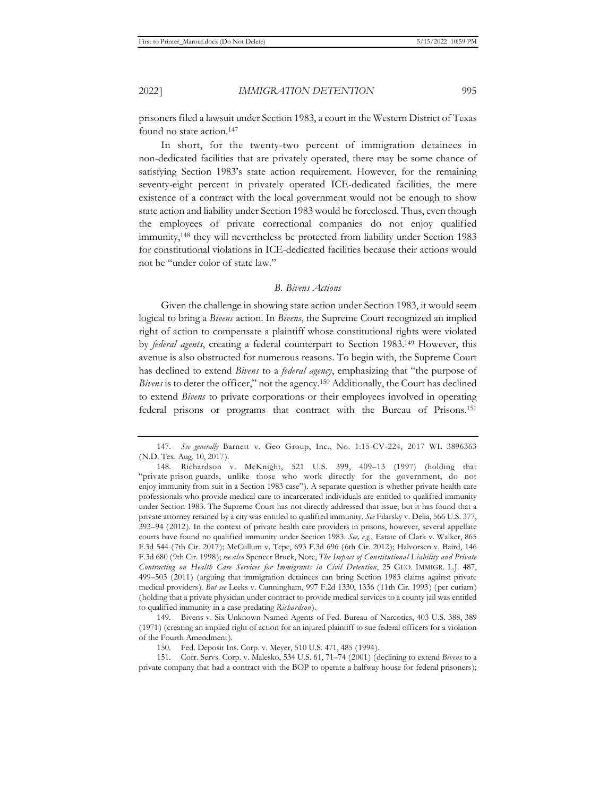prisoners filed a lawsuit under Section 1983, a court in the Western District of Texas found no state action.<sup>147</sup>

In short, for the twenty-two percent of immigration detainees in non-dedicated facilities that are privately operated, there may be some chance of satisfying Section 1983's state action requirement. However, for the remaining seventy-eight percent in privately operated ICE-dedicated facilities, the mere existence of a contract with the local government would not be enough to show state action and liability under Section 1983 would be foreclosed. Thus, even though the employees of private correctional companies do not enjoy qualified immunity,148 they will nevertheless be protected from liability under Section 1983 for constitutional violations in ICE-dedicated facilities because their actions would not be "under color of state law."

### *B. Bivens Actions*

Given the challenge in showing state action under Section 1983, it would seem logical to bring a *Bivens* action. In *Bivens*, the Supreme Court recognized an implied right of action to compensate a plaintiff whose constitutional rights were violated by *federal agents*, creating a federal counterpart to Section 1983.149 However, this avenue is also obstructed for numerous reasons. To begin with, the Supreme Court has declined to extend *Bivens* to a *federal agency*, emphasizing that "the purpose of *Bivens* is to deter the officer," not the agency.150 Additionally, the Court has declined to extend *Bivens* to private corporations or their employees involved in operating federal prisons or programs that contract with the Bureau of Prisons.151

<sup>147.</sup> *See generally* Barnett v. Geo Group, Inc., No. 1:15-CV-224, 2017 WL 3896363 (N.D. Tex. Aug. 10, 2017).

<sup>148.</sup> Richardson v. McKnight, 521 U.S. 399, 409–13 (1997) (holding that "private prison guards, unlike those who work directly for the government, do not enjoy immunity from suit in a Section 1983 case"). A separate question is whether private health care professionals who provide medical care to incarcerated individuals are entitled to qualified immunity under Section 1983. The Supreme Court has not directly addressed that issue, but it has found that a private attorney retained by a city was entitled to qualified immunity. *See* Filarsky v. Delia, 566 U.S. 377, 393–94 (2012). In the context of private health care providers in prisons, however, several appellate courts have found no qualified immunity under Section 1983. *See, e.g.*, Estate of Clark v. Walker, 865 F.3d 544 (7th Cir. 2017); McCullum v. Tepe, 693 F.3d 696 (6th Cir. 2012); Halvorsen v. Baird, 146 F.3d 680 (9th Cir. 1998); *see also* Spencer Bruck, Note, *The Impact of Constitutional Liability and Private Contracting on Health Care Services for Immigrants in Civil Detention*, 25 GEO. IMMIGR. L.J. 487, 499–503 (2011) (arguing that immigration detainees can bring Section 1983 claims against private medical providers). *But see* Leeks v. Cunningham, 997 F.2d 1330, 1336 (11th Cir. 1993) (per curiam) (holding that a private physician under contract to provide medical services to a county jail was entitled to qualified immunity in a case predating *Richardson* ).

<sup>149.</sup> Bivens v. Six Unknown Named Agents of Fed. Bureau of Narcotics, 403 U.S. 388, 389 (1971) (creating an implied right of action for an injured plaintiff to sue federal officers for a violation of the Fourth Amendment).

<sup>150.</sup> Fed. Deposit Ins. Corp. v. Meyer, 510 U.S. 471, 485 (1994).

<sup>151.</sup> Corr. Servs. Corp. v. Malesko, 534 U.S. 61, 71–74 (2001) (declining to extend *Bivens* to a private company that had a contract with the BOP to operate a halfway house for federal prisoners);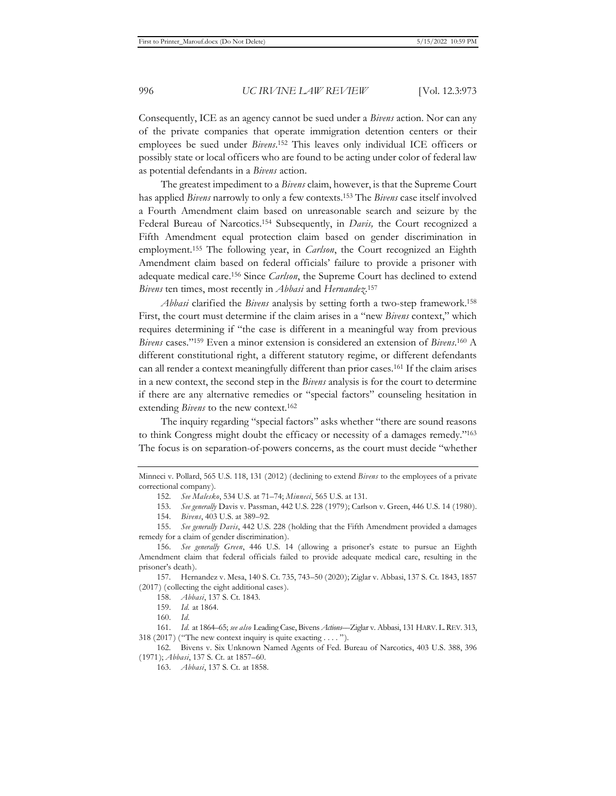Consequently, ICE as an agency cannot be sued under a *Bivens* action. Nor can any of the private companies that operate immigration detention centers or their employees be sued under *Bivens*. 152 This leaves only individual ICE officers or possibly state or local officers who are found to be acting under color of federal law as potential defendants in a *Bivens* action.

The greatest impediment to a *Bivens* claim, however, is that the Supreme Court has applied *Bivens* narrowly to only a few contexts.153 The *Bivens* case itself involved a Fourth Amendment claim based on unreasonable search and seizure by the Federal Bureau of Narcotics.154 Subsequently, in *Davis,* the Court recognized a Fifth Amendment equal protection claim based on gender discrimination in employment.155 The following year, in *Carlson*, the Court recognized an Eighth Amendment claim based on federal officials' failure to provide a prisoner with adequate medical care.156 Since *Carlson*, the Supreme Court has declined to extend *Bivens* ten times, most recently in *Abbasi* and *Hernandez*. 157

*Abbasi* clarified the *Bivens* analysis by setting forth a two-step framework.158 First, the court must determine if the claim arises in a "new *Bivens* context," which requires determining if "the case is different in a meaningful way from previous *Bivens* cases."159 Even a minor extension is considered an extension of *Bivens*. 160 A different constitutional right, a different statutory regime, or different defendants can all render a context meaningfully different than prior cases.161 If the claim arises in a new context, the second step in the *Bivens* analysis is for the court to determine if there are any alternative remedies or "special factors" counseling hesitation in extending *Bivens* to the new context.<sup>162</sup>

The inquiry regarding "special factors" asks whether "there are sound reasons to think Congress might doubt the efficacy or necessity of a damages remedy."163 The focus is on separation-of-powers concerns, as the court must decide "whether

Minneci v. Pollard, 565 U.S. 118, 131 (2012) (declining to extend *Bivens* to the employees of a private correctional company).

<sup>152.</sup> *See Malesko*, 534 U.S. at 71–74; *Minneci*, 565 U.S. at 131.

<sup>153.</sup> *See generally* Davis v. Passman, 442 U.S. 228 (1979); Carlson v. Green, 446 U.S. 14 (1980).

<sup>154.</sup> *Bivens*, 403 U.S. at 389–92.

<sup>155.</sup> *See generally Davis*, 442 U.S. 228 (holding that the Fifth Amendment provided a damages remedy for a claim of gender discrimination).

<sup>156.</sup> *See generally Green*, 446 U.S. 14 (allowing a prisoner's estate to pursue an Eighth Amendment claim that federal officials failed to provide adequate medical care, resulting in the prisoner's death).

<sup>157.</sup> Hernandez v. Mesa, 140 S. Ct. 735, 743–50 (2020); Ziglar v. Abbasi, 137 S. Ct. 1843, 1857 (2017) (collecting the eight additional cases).

<sup>158.</sup> *Abbasi*, 137 S. Ct. 1843.

<sup>159.</sup> *Id.* at 1864.

<sup>160.</sup> *Id.*

<sup>161.</sup> *Id.* at 1864–65; *see also* Leading Case, Bivens *Actions––*Ziglar v. Abbasi, 131 HARV.L.REV. 313, 318 (2017) ("The new context inquiry is quite exacting . . . . ").

<sup>162.</sup> Bivens v. Six Unknown Named Agents of Fed. Bureau of Narcotics, 403 U.S. 388, 396 (1971); *Abbasi*, 137 S. Ct. at 1857–60.

<sup>163.</sup> *Abbasi*, 137 S. Ct. at 1858.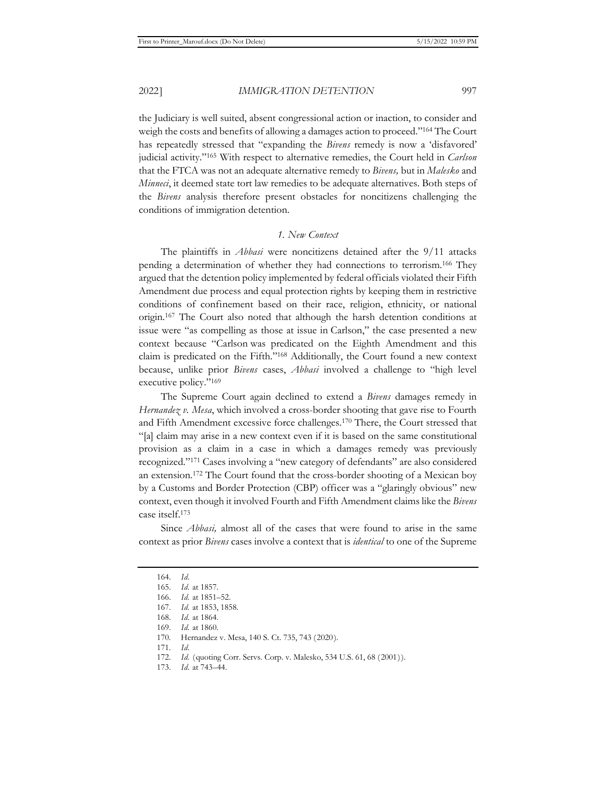the Judiciary is well suited, absent congressional action or inaction, to consider and weigh the costs and benefits of allowing a damages action to proceed."164 The Court has repeatedly stressed that "expanding the *Bivens* remedy is now a 'disfavored' judicial activity."165 With respect to alternative remedies, the Court held in *Carlson*  that the FTCA was not an adequate alternative remedy to *Bivens,* but in *Malesko* and *Minneci*, it deemed state tort law remedies to be adequate alternatives. Both steps of the *Bivens* analysis therefore present obstacles for noncitizens challenging the conditions of immigration detention.

#### *1. New Context*

The plaintiffs in *Abbasi* were noncitizens detained after the 9/11 attacks pending a determination of whether they had connections to terrorism.166 They argued that the detention policy implemented by federal officials violated their Fifth Amendment due process and equal protection rights by keeping them in restrictive conditions of confinement based on their race, religion, ethnicity, or national origin.167 The Court also noted that although the harsh detention conditions at issue were "as compelling as those at issue in Carlson," the case presented a new context because "Carlson was predicated on the Eighth Amendment and this claim is predicated on the Fifth."168 Additionally, the Court found a new context because, unlike prior *Bivens* cases, *Abbasi* involved a challenge to "high level executive policy."169

The Supreme Court again declined to extend a *Bivens* damages remedy in *Hernandez v. Mesa*, which involved a cross-border shooting that gave rise to Fourth and Fifth Amendment excessive force challenges.170 There, the Court stressed that "[a] claim may arise in a new context even if it is based on the same constitutional provision as a claim in a case in which a damages remedy was previously recognized."171 Cases involving a "new category of defendants" are also considered an extension.172 The Court found that the cross-border shooting of a Mexican boy by a Customs and Border Protection (CBP) officer was a "glaringly obvious" new context, even though it involved Fourth and Fifth Amendment claims like the *Bivens*  case itself.173

Since *Abbasi,* almost all of the cases that were found to arise in the same context as prior *Bivens* cases involve a context that is *identical* to one of the Supreme

<sup>164.</sup> *Id.*

<sup>165.</sup> *Id.* at 1857.

<sup>166.</sup> *Id.* at 1851–52.

<sup>167.</sup> *Id.* at 1853, 1858.

<sup>168.</sup> *Id.* at 1864.

<sup>169.</sup> *Id.* at 1860.

<sup>170.</sup> Hernandez v. Mesa, 140 S. Ct. 735, 743 (2020).

<sup>171.</sup> *Id.*

<sup>172.</sup> *Id.* (quoting Corr. Servs. Corp. v. Malesko, 534 U.S. 61, 68 (2001)).

<sup>173.</sup> *Id.* at 743–44.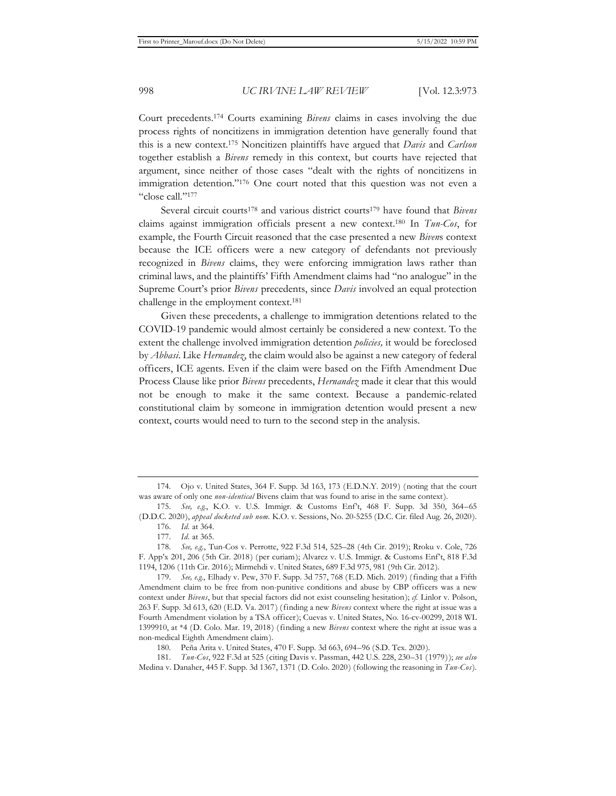Court precedents.174 Courts examining *Bivens* claims in cases involving the due process rights of noncitizens in immigration detention have generally found that this is a new context.175 Noncitizen plaintiffs have argued that *Davis* and *Carlson* together establish a *Bivens* remedy in this context, but courts have rejected that argument, since neither of those cases "dealt with the rights of noncitizens in immigration detention."176 One court noted that this question was not even a "close call."177

Several circuit courts178 and various district courts179 have found that *Bivens* claims against immigration officials present a new context.180 In *Tun-Cos*, for example, the Fourth Circuit reasoned that the case presented a new *Biven*s context because the ICE officers were a new category of defendants not previously recognized in *Bivens* claims, they were enforcing immigration laws rather than criminal laws, and the plaintiffs' Fifth Amendment claims had "no analogue" in the Supreme Court's prior *Bivens* precedents, since *Davis* involved an equal protection challenge in the employment context.181

Given these precedents, a challenge to immigration detentions related to the COVID-19 pandemic would almost certainly be considered a new context. To the extent the challenge involved immigration detention *policies,* it would be foreclosed by *Abbasi*. Like *Hernandez*, the claim would also be against a new category of federal officers, ICE agents. Even if the claim were based on the Fifth Amendment Due Process Clause like prior *Bivens* precedents, *Hernandez* made it clear that this would not be enough to make it the same context. Because a pandemic-related constitutional claim by someone in immigration detention would present a new context, courts would need to turn to the second step in the analysis.

<sup>174.</sup> Ojo v. United States, 364 F. Supp. 3d 163, 173 (E.D.N.Y. 2019) (noting that the court was aware of only one *non-identical* Bivens claim that was found to arise in the same context).

<sup>175.</sup> *See, e.g.*, K.O. v. U.S. Immigr. & Customs Enf't, 468 F. Supp. 3d 350, 364–65 (D.D.C. 2020), *appeal docketed sub nom.* K.O. v. Sessions, No. 20-5255 (D.C. Cir. filed Aug. 26, 2020). 176. *Id.* at 364.

<sup>177.</sup> *Id.* at 365.

<sup>178.</sup> *See, e.g.*, Tun-Cos v. Perrotte, 922 F.3d 514, 525–28 (4th Cir. 2019); Rroku v. Cole, 726 F. App'x 201, 206 (5th Cir. 2018) (per curiam); Alvarez v. U.S. Immigr. & Customs Enf't, 818 F.3d 1194, 1206 (11th Cir. 2016); Mirmehdi v. United States, 689 F.3d 975, 981 (9th Cir. 2012).

<sup>179.</sup> *See, e.g.*, Elhady v. Pew, 370 F. Supp. 3d 757, 768 (E.D. Mich. 2019) (finding that a Fifth Amendment claim to be free from non-punitive conditions and abuse by CBP officers was a new context under *Bivens*, but that special factors did not exist counseling hesitation); *cf.* Linlor v. Polson, 263 F. Supp. 3d 613, 620 (E.D. Va. 2017) (finding a new *Bivens* context where the right at issue was a Fourth Amendment violation by a TSA officer); Cuevas v. United States, No. 16-cv-00299, 2018 WL 1399910, at \*4 (D. Colo. Mar. 19, 2018) (finding a new *Bivens* context where the right at issue was a non-medical Eighth Amendment claim).

<sup>180.</sup> Peña Arita v. United States, 470 F. Supp. 3d 663, 694–96 (S.D. Tex. 2020).

<sup>181.</sup> *Tun-Cos*, 922 F.3d at 525 (citing Davis v. Passman, 442 U.S. 228, 230–31 (1979)); *see also*  Medina v. Danaher, 445 F. Supp. 3d 1367, 1371 (D. Colo. 2020) (following the reasoning in *Tun-Cos*).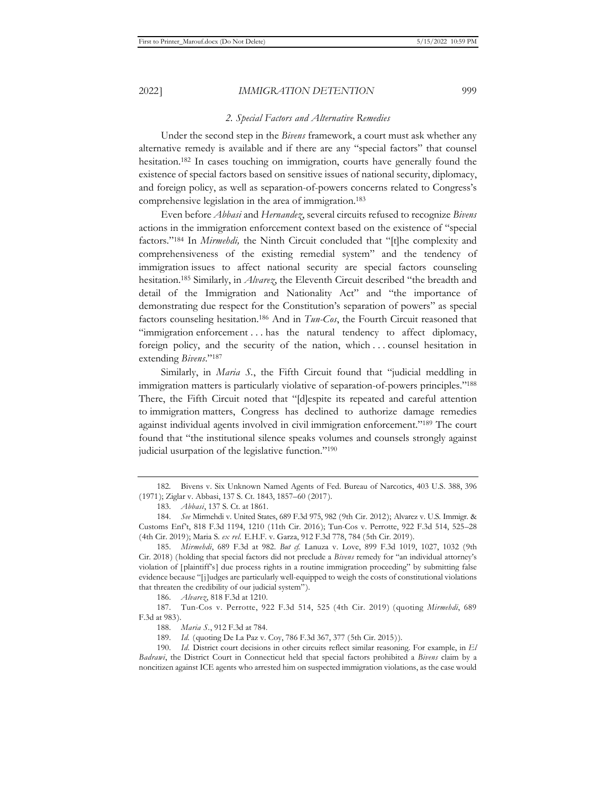#### *2. Special Factors and Alternative Remedies*

Under the second step in the *Bivens* framework, a court must ask whether any alternative remedy is available and if there are any "special factors" that counsel hesitation.<sup>182</sup> In cases touching on immigration, courts have generally found the existence of special factors based on sensitive issues of national security, diplomacy, and foreign policy, as well as separation-of-powers concerns related to Congress's comprehensive legislation in the area of immigration.183

Even before *Abbasi* and *Hernandez*, several circuits refused to recognize *Bivens*  actions in the immigration enforcement context based on the existence of "special factors."184 In *Mirmehdi,* the Ninth Circuit concluded that "[t]he complexity and comprehensiveness of the existing remedial system" and the tendency of immigration issues to affect national security are special factors counseling hesitation.185 Similarly, in *Alvarez*, the Eleventh Circuit described "the breadth and detail of the Immigration and Nationality Act" and "the importance of demonstrating due respect for the Constitution's separation of powers" as special factors counseling hesitation.186 And in *Tun-Cos*, the Fourth Circuit reasoned that "immigration enforcement . . . has the natural tendency to affect diplomacy, foreign policy, and the security of the nation, which . . . counsel hesitation in extending *Bivens*."187

Similarly, in *Maria S.*, the Fifth Circuit found that "judicial meddling in immigration matters is particularly violative of separation-of-powers principles."188 There, the Fifth Circuit noted that "[d]espite its repeated and careful attention to immigration matters, Congress has declined to authorize damage remedies against individual agents involved in civil immigration enforcement."189 The court found that "the institutional silence speaks volumes and counsels strongly against judicial usurpation of the legislative function."190

186. *Alvarez*, 818 F.3d at 1210.

<sup>182.</sup> Bivens v. Six Unknown Named Agents of Fed. Bureau of Narcotics, 403 U.S. 388, 396 (1971); Ziglar v. Abbasi, 137 S. Ct. 1843, 1857–60 (2017).

<sup>183.</sup> *Abbasi*, 137 S. Ct. at 1861.

<sup>184.</sup> *See* Mirmehdi v. United States, 689 F.3d 975, 982 (9th Cir. 2012); Alvarez v. U.S. Immigr. & Customs Enf't, 818 F.3d 1194, 1210 (11th Cir. 2016); Tun-Cos v. Perrotte, 922 F.3d 514, 525–28 (4th Cir. 2019); Maria S. *ex rel.* E.H.F. v. Garza, 912 F.3d 778, 784 (5th Cir. 2019).

<sup>185.</sup> *Mirmehdi*, 689 F.3d at 982. *But cf.* Lanuza v. Love, 899 F.3d 1019, 1027, 1032 (9th Cir. 2018) (holding that special factors did not preclude a *Bivens* remedy for "an individual attorney's violation of [plaintiff's] due process rights in a routine immigration proceeding" by submitting false evidence because "[j]udges are particularly well-equipped to weigh the costs of constitutional violations that threaten the credibility of our judicial system").

<sup>187.</sup> Tun-Cos v. Perrotte, 922 F.3d 514, 525 (4th Cir. 2019) (quoting *Mirmehdi*, 689 F.3d at 983).

<sup>188.</sup> *Maria S.*, 912 F.3d at 784.

<sup>189.</sup> *Id.* (quoting De La Paz v. Coy, 786 F.3d 367, 377 (5th Cir. 2015)).

<sup>190.</sup> *Id.* District court decisions in other circuits reflect similar reasoning. For example, in *El Badrawi*, the District Court in Connecticut held that special factors prohibited a *Bivens* claim by a noncitizen against ICE agents who arrested him on suspected immigration violations, as the case would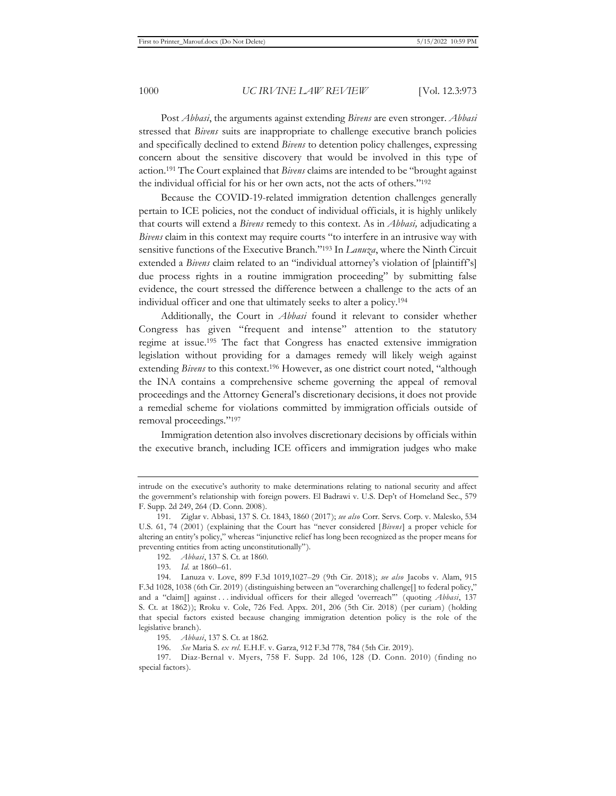Post *Abbasi*, the arguments against extending *Bivens* are even stronger. *Abbasi*  stressed that *Bivens* suits are inappropriate to challenge executive branch policies and specifically declined to extend *Bivens* to detention policy challenges, expressing concern about the sensitive discovery that would be involved in this type of action.191 The Court explained that *Bivens* claims are intended to be "brought against the individual official for his or her own acts, not the acts of others."192

Because the COVID-19-related immigration detention challenges generally pertain to ICE policies, not the conduct of individual officials, it is highly unlikely that courts will extend a *Bivens* remedy to this context. As in *Abbasi,* adjudicating a *Bivens* claim in this context may require courts "to interfere in an intrusive way with sensitive functions of the Executive Branch."193 In *Lanuza*, where the Ninth Circuit extended a *Bivens* claim related to an "individual attorney's violation of [plaintiff's] due process rights in a routine immigration proceeding" by submitting false evidence, the court stressed the difference between a challenge to the acts of an individual officer and one that ultimately seeks to alter a policy.194

Additionally, the Court in *Abbasi* found it relevant to consider whether Congress has given "frequent and intense" attention to the statutory regime at issue.195 The fact that Congress has enacted extensive immigration legislation without providing for a damages remedy will likely weigh against extending *Bivens* to this context.<sup>196</sup> However, as one district court noted, "although the INA contains a comprehensive scheme governing the appeal of removal proceedings and the Attorney General's discretionary decisions, it does not provide a remedial scheme for violations committed by immigration officials outside of removal proceedings."197

Immigration detention also involves discretionary decisions by officials within the executive branch, including ICE officers and immigration judges who make

192. *Abbasi*, 137 S. Ct. at 1860.

196. *See* Maria S. *ex rel.* E.H.F. v. Garza, 912 F.3d 778, 784 (5th Cir. 2019).

197. Diaz-Bernal v. Myers, 758 F. Supp. 2d 106, 128 (D. Conn. 2010) (finding no special factors).

intrude on the executive's authority to make determinations relating to national security and affect the government's relationship with foreign powers. El Badrawi v. U.S. Dep't of Homeland Sec., 579 F. Supp. 2d 249, 264 (D. Conn. 2008).

<sup>191.</sup> Ziglar v. Abbasi, 137 S. Ct. 1843, 1860 (2017); *see also* Corr. Servs. Corp. v. Malesko, 534 U.S. 61, 74 (2001) (explaining that the Court has "never considered [*Bivens*] a proper vehicle for altering an entity's policy," whereas "injunctive relief has long been recognized as the proper means for preventing entities from acting unconstitutionally").

<sup>193.</sup> *Id.* at 1860–61.

<sup>194.</sup> Lanuza v. Love, 899 F.3d 1019,1027–29 (9th Cir. 2018); *see also* Jacobs v. Alam, 915 F.3d 1028, 1038 (6th Cir. 2019) (distinguishing between an "overarching challenge[] to federal policy," and a "claim[] against . . . individual officers for their alleged 'overreach'" (quoting *Abbasi*, 137 S. Ct. at 1862)); Rroku v. Cole, 726 Fed. Appx. 201, 206 (5th Cir. 2018) (per curiam) (holding that special factors existed because changing immigration detention policy is the role of the legislative branch).

<sup>195.</sup> *Abbasi*, 137 S. Ct. at 1862.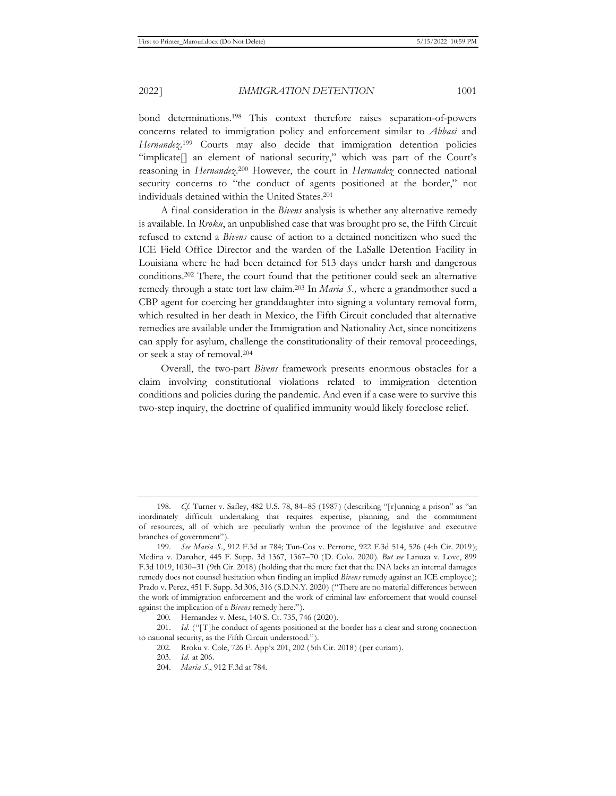bond determinations.198 This context therefore raises separation-of-powers concerns related to immigration policy and enforcement similar to *Abbasi* and Hernandez.<sup>199</sup> Courts may also decide that immigration detention policies "implicate[] an element of national security," which was part of the Court's reasoning in *Hernandez*. 200 However, the court in *Hernandez* connected national security concerns to "the conduct of agents positioned at the border," not individuals detained within the United States.201

A final consideration in the *Bivens* analysis is whether any alternative remedy is available. In *Rroku*, an unpublished case that was brought pro se, the Fifth Circuit refused to extend a *Bivens* cause of action to a detained noncitizen who sued the ICE Field Office Director and the warden of the LaSalle Detention Facility in Louisiana where he had been detained for 513 days under harsh and dangerous conditions.202 There, the court found that the petitioner could seek an alternative remedy through a state tort law claim.203 In *Maria S.,* where a grandmother sued a CBP agent for coercing her granddaughter into signing a voluntary removal form, which resulted in her death in Mexico, the Fifth Circuit concluded that alternative remedies are available under the Immigration and Nationality Act, since noncitizens can apply for asylum, challenge the constitutionality of their removal proceedings, or seek a stay of removal.204

Overall, the two-part *Bivens* framework presents enormous obstacles for a claim involving constitutional violations related to immigration detention conditions and policies during the pandemic. And even if a case were to survive this two-step inquiry, the doctrine of qualified immunity would likely foreclose relief.

<sup>198.</sup> *Cf.* Turner v. Safley, 482 U.S. 78, 84–85 (1987) (describing "[r]unning a prison" as "an inordinately difficult undertaking that requires expertise, planning, and the commitment of resources, all of which are peculiarly within the province of the legislative and executive branches of government").

<sup>199.</sup> *See Maria S*., 912 F.3d at 784; Tun-Cos v. Perrotte, 922 F.3d 514, 526 (4th Cir. 2019); Medina v. Danaher, 445 F. Supp. 3d 1367, 1367*–*70 (D. Colo. 2020). *But see* Lanuza v. Love, 899 F.3d 1019, 1030–31 (9th Cir. 2018) (holding that the mere fact that the INA lacks an internal damages remedy does not counsel hesitation when finding an implied *Bivens* remedy against an ICE employee); Prado v. Perez, 451 F. Supp. 3d 306, 316 (S.D.N.Y. 2020) ("There are no material differences between the work of immigration enforcement and the work of criminal law enforcement that would counsel against the implication of a *Bivens* remedy here.").

<sup>200.</sup> Hernandez v. Mesa, 140 S. Ct. 735, 746 (2020).

<sup>201.</sup> *Id.* ("[T]he conduct of agents positioned at the border has a clear and strong connection to national security, as the Fifth Circuit understood.").

<sup>202.</sup> Rroku v. Cole, 726 F. App'x 201, 202 (5th Cir. 2018) (per curiam).

<sup>203.</sup> *Id.* at 206.

<sup>204.</sup> *Maria S*., 912 F.3d at 784.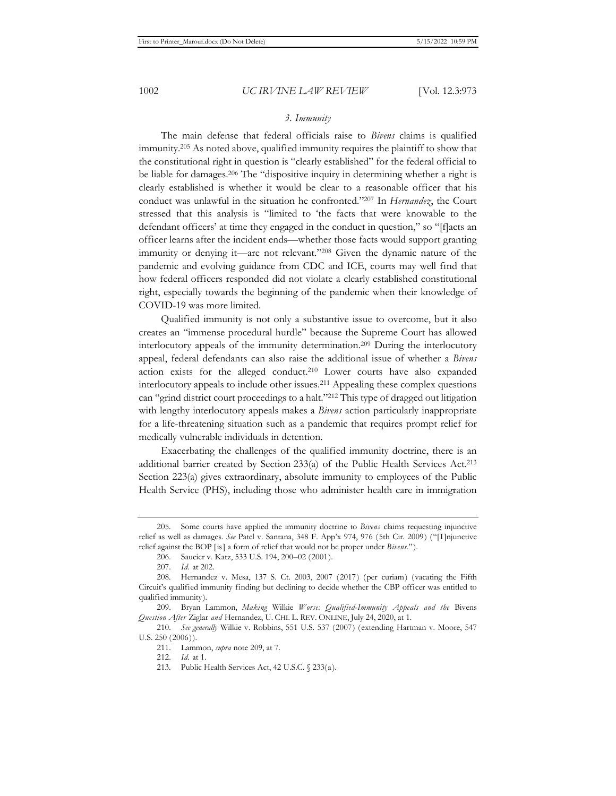## *3. Immunity*

The main defense that federal officials raise to *Bivens* claims is qualified immunity.205 As noted above, qualified immunity requires the plaintiff to show that the constitutional right in question is "clearly established" for the federal official to be liable for damages.206 The "dispositive inquiry in determining whether a right is clearly established is whether it would be clear to a reasonable officer that his conduct was unlawful in the situation he confronted."207 In *Hernandez*, the Court stressed that this analysis is "limited to 'the facts that were knowable to the defendant officers' at time they engaged in the conduct in question," so "[f]acts an officer learns after the incident ends—whether those facts would support granting immunity or denying it—are not relevant."208 Given the dynamic nature of the pandemic and evolving guidance from CDC and ICE, courts may well find that how federal officers responded did not violate a clearly established constitutional right, especially towards the beginning of the pandemic when their knowledge of COVID-19 was more limited.

Qualified immunity is not only a substantive issue to overcome, but it also creates an "immense procedural hurdle" because the Supreme Court has allowed interlocutory appeals of the immunity determination.209 During the interlocutory appeal, federal defendants can also raise the additional issue of whether a *Bivens*  action exists for the alleged conduct.210 Lower courts have also expanded interlocutory appeals to include other issues.211 Appealing these complex questions can "grind district court proceedings to a halt."212 This type of dragged out litigation with lengthy interlocutory appeals makes a *Bivens* action particularly inappropriate for a life-threatening situation such as a pandemic that requires prompt relief for medically vulnerable individuals in detention.

Exacerbating the challenges of the qualified immunity doctrine, there is an additional barrier created by Section 233(a) of the Public Health Services Act.213 Section 223(a) gives extraordinary, absolute immunity to employees of the Public Health Service (PHS), including those who administer health care in immigration

<sup>205.</sup> Some courts have applied the immunity doctrine to *Bivens* claims requesting injunctive relief as well as damages. *See* Patel v. Santana, 348 F. App'x 974, 976 (5th Cir. 2009) ("[I]njunctive relief against the BOP [is] a form of relief that would not be proper under *Bivens*.").

<sup>206.</sup> Saucier v. Katz, 533 U.S. 194, 200–02 (2001).

<sup>207.</sup> *Id.* at 202.

<sup>208.</sup> Hernandez v. Mesa, 137 S. Ct. 2003, 2007 (2017) (per curiam) (vacating the Fifth Circuit's qualified immunity finding but declining to decide whether the CBP officer was entitled to qualified immunity).

<sup>209.</sup> Bryan Lammon, *Making* Wilkie *Worse: Qualified-Immunity Appeals and the* Bivens *Question After* Ziglar *and* Hernandez, U. CHI. L. REV. ONLINE, July 24, 2020, at 1.

<sup>210.</sup> *See generally* Wilkie v. Robbins, 551 U.S. 537 (2007) (extending Hartman v. Moore, 547 U.S. 250 (2006)).

<sup>211.</sup> Lammon, *supra* note 209, at 7.

<sup>212.</sup> *Id.* at 1.

<sup>213.</sup> Public Health Services Act, 42 U.S.C. § 233(a).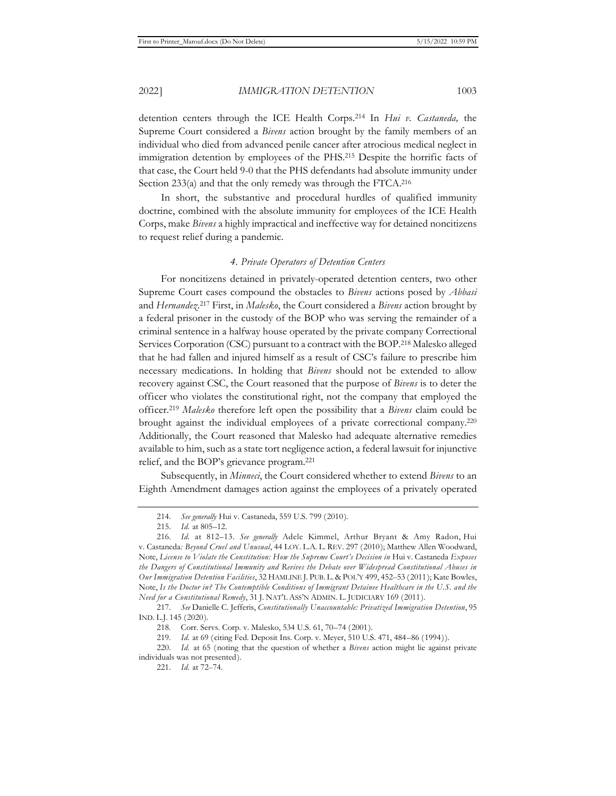detention centers through the ICE Health Corps.214 In *Hui v. Castaneda,* the Supreme Court considered a *Bivens* action brought by the family members of an individual who died from advanced penile cancer after atrocious medical neglect in immigration detention by employees of the PHS.215 Despite the horrific facts of that case, the Court held 9-0 that the PHS defendants had absolute immunity under Section 233(a) and that the only remedy was through the FTCA.216

In short, the substantive and procedural hurdles of qualified immunity doctrine, combined with the absolute immunity for employees of the ICE Health Corps, make *Bivens* a highly impractical and ineffective way for detained noncitizens to request relief during a pandemic.

#### *4. Private Operators of Detention Centers*

For noncitizens detained in privately-operated detention centers, two other Supreme Court cases compound the obstacles to *Bivens* actions posed by *Abbasi*  and *Hernandez*. 217 First, in *Malesko*, the Court considered a *Bivens* action brought by a federal prisoner in the custody of the BOP who was serving the remainder of a criminal sentence in a halfway house operated by the private company Correctional Services Corporation (CSC) pursuant to a contract with the BOP.218 Malesko alleged that he had fallen and injured himself as a result of CSC's failure to prescribe him necessary medications. In holding that *Bivens* should not be extended to allow recovery against CSC, the Court reasoned that the purpose of *Bivens* is to deter the officer who violates the constitutional right, not the company that employed the officer.219 *Malesko* therefore left open the possibility that a *Bivens* claim could be brought against the individual employees of a private correctional company.220 Additionally, the Court reasoned that Malesko had adequate alternative remedies available to him, such as a state tort negligence action, a federal lawsuit for injunctive relief, and the BOP's grievance program.221

Subsequently, in *Minneci*, the Court considered whether to extend *Bivens* to an Eighth Amendment damages action against the employees of a privately operated

<sup>214.</sup> *See generally* Hui v. Castaneda, 559 U.S. 799 (2010).

<sup>215.</sup> *Id.* at 805–12.

<sup>216.</sup> *Id.* at 812–13. *See generally* Adele Kimmel, Arthur Bryant & Amy Radon, Hui v. Castaneda*: Beyond Cruel and Unusual*, 44 LOY. L.A. L. REV. 297 (2010); Matthew Allen Woodward, Note, *License to Violate the Constitution: How the Supreme Court's Decision in* Hui v. Castaneda *Exposes the Dangers of Constitutional Immunity and Revives the Debate over Widespread Constitutional Abuses in Our Immigration Detention Facilities*, 32 HAMLINE J. PUB. L. & POL'Y 499, 452–53 (2011); Kate Bowles, Note, *Is the Doctor in? The Contemptible Conditions of Immigrant Detainee Healthcare in the U.S. and the Need for a Constitutional Remedy*, 31 J. NAT'L ASS'N ADMIN. L. JUDICIARY 169 (2011).

<sup>217.</sup> *See* Danielle C. Jefferis, *Constitutionally Unaccountable: Privatized Immigration Detention*, 95 IND. L.J. 145 (2020).

<sup>218.</sup> Corr. Servs. Corp. v. Malesko, 534 U.S. 61, 70–74 (2001).

<sup>219.</sup> *Id.* at 69 (citing Fed. Deposit Ins. Corp. v. Meyer, 510 U.S. 471, 484–86 (1994)).

<sup>220.</sup> *Id.* at 65 (noting that the question of whether a *Bivens* action might lie against private individuals was not presented).

<sup>221.</sup> *Id.* at 72–74.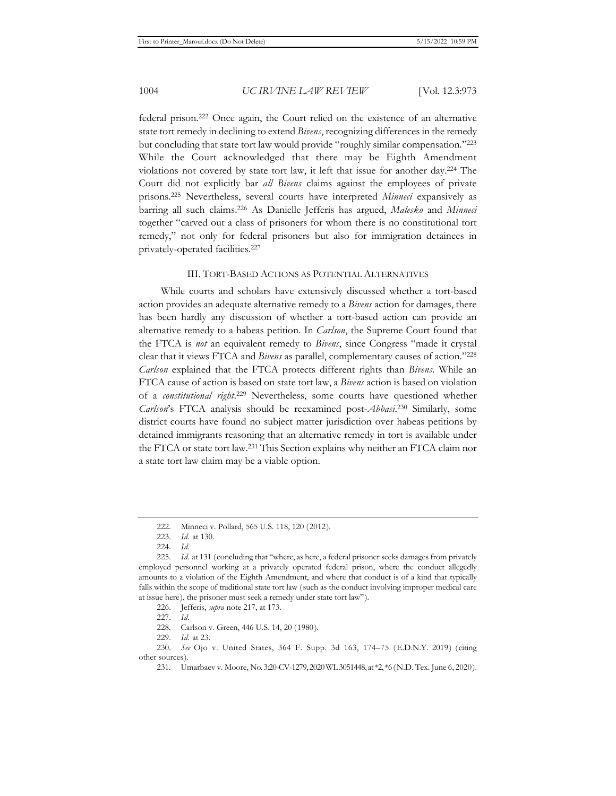federal prison.222 Once again, the Court relied on the existence of an alternative state tort remedy in declining to extend *Bivens*, recognizing differences in the remedy but concluding that state tort law would provide "roughly similar compensation."223 While the Court acknowledged that there may be Eighth Amendment violations not covered by state tort law, it left that issue for another day.224 The Court did not explicitly bar *all Bivens* claims against the employees of private prisons.225 Nevertheless, several courts have interpreted *Minneci* expansively as barring all such claims.226 As Danielle Jefferis has argued, *Malesko* and *Minneci*  together "carved out a class of prisoners for whom there is no constitutional tort remedy," not only for federal prisoners but also for immigration detainees in privately-operated facilities.227

#### III. TORT-BASED ACTIONS AS POTENTIAL ALTERNATIVES

While courts and scholars have extensively discussed whether a tort-based action provides an adequate alternative remedy to a *Bivens* action for damages, there has been hardly any discussion of whether a tort-based action can provide an alternative remedy to a habeas petition. In *Carlson*, the Supreme Court found that the FTCA is *not* an equivalent remedy to *Bivens*, since Congress "made it crystal clear that it views FTCA and *Bivens* as parallel, complementary causes of action."228 *Carlson* explained that the FTCA protects different rights than *Bivens*. While an FTCA cause of action is based on state tort law, a *Bivens* action is based on violation of a *constitutional right*. 229 Nevertheless, some courts have questioned whether *Carlson*'s FTCA analysis should be reexamined post-*Abbasi*. 230 Similarly, some district courts have found no subject matter jurisdiction over habeas petitions by detained immigrants reasoning that an alternative remedy in tort is available under the FTCA or state tort law.231 This Section explains why neither an FTCA claim nor a state tort law claim may be a viable option.

<sup>222.</sup> Minneci v. Pollard, 565 U.S. 118, 120 (2012).

<sup>223.</sup> *Id.* at 130.

<sup>224.</sup> *Id.*

<sup>225.</sup> *Id.* at 131 (concluding that "where, as here, a federal prisoner seeks damages from privately employed personnel working at a privately operated federal prison, where the conduct allegedly amounts to a violation of the Eighth Amendment, and where that conduct is of a kind that typically falls within the scope of traditional state tort law (such as the conduct involving improper medical care at issue here), the prisoner must seek a remedy under state tort law").

<sup>226.</sup> Jefferis, *supra* note 217, at 173.

<sup>227.</sup> *Id.*

<sup>228.</sup> Carlson v. Green, 446 U.S. 14, 20 (1980).

<sup>229.</sup> *Id.* at 23.

<sup>230.</sup> *See* Ojo v. United States, 364 F. Supp. 3d 163, 174–75 (E.D.N.Y. 2019) (citing other sources).

<sup>231.</sup> Umarbaev v. Moore, No. 3:20-CV-1279, 2020 WL 3051448, at \*2, \*6 (N.D. Tex. June 6, 2020).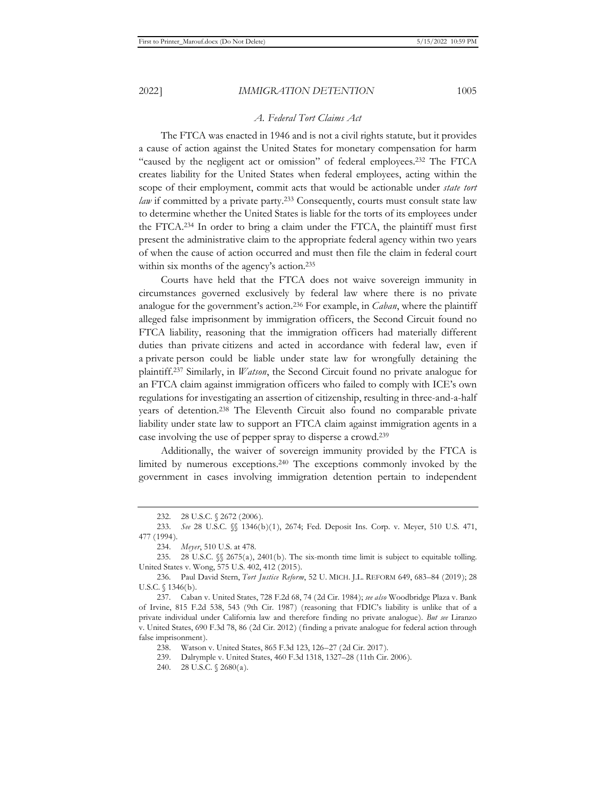### *A. Federal Tort Claims Act*

The FTCA was enacted in 1946 and is not a civil rights statute, but it provides a cause of action against the United States for monetary compensation for harm "caused by the negligent act or omission" of federal employees.232 The FTCA creates liability for the United States when federal employees, acting within the scope of their employment, commit acts that would be actionable under *state tort law* if committed by a private party.<sup>233</sup> Consequently, courts must consult state law to determine whether the United States is liable for the torts of its employees under the FTCA.234 In order to bring a claim under the FTCA, the plaintiff must first present the administrative claim to the appropriate federal agency within two years of when the cause of action occurred and must then file the claim in federal court within six months of the agency's action.<sup>235</sup>

Courts have held that the FTCA does not waive sovereign immunity in circumstances governed exclusively by federal law where there is no private analogue for the government's action.236 For example, in *Caban*, where the plaintiff alleged false imprisonment by immigration officers, the Second Circuit found no FTCA liability, reasoning that the immigration officers had materially different duties than private citizens and acted in accordance with federal law, even if a private person could be liable under state law for wrongfully detaining the plaintiff.237 Similarly, in *Watson*, the Second Circuit found no private analogue for an FTCA claim against immigration officers who failed to comply with ICE's own regulations for investigating an assertion of citizenship, resulting in three-and-a-half years of detention.238 The Eleventh Circuit also found no comparable private liability under state law to support an FTCA claim against immigration agents in a case involving the use of pepper spray to disperse a crowd.239

Additionally, the waiver of sovereign immunity provided by the FTCA is limited by numerous exceptions.240 The exceptions commonly invoked by the government in cases involving immigration detention pertain to independent

<sup>232. 28</sup> U.S.C. § 2672 (2006).

<sup>233.</sup> *See* 28 U.S.C. §§ 1346(b)(1), 2674; Fed. Deposit Ins. Corp. v. Meyer, 510 U.S. 471, 477 (1994).

<sup>234.</sup> *Meyer*, 510 U.S. at 478.

<sup>235. 28</sup> U.S.C. §§ 2675(a), 2401(b). The six-month time limit is subject to equitable tolling. United States v. Wong, 575 U.S. 402, 412 (2015).

<sup>236.</sup> Paul David Stern, *Tort Justice Reform*, 52 U. MICH. J.L. REFORM 649, 683–84 (2019); 28 U.S.C. § 1346(b).

<sup>237.</sup> Caban v. United States, 728 F.2d 68, 74 (2d Cir. 1984); *see also* Woodbridge Plaza v. Bank of Irvine, 815 F.2d 538, 543 (9th Cir. 1987) (reasoning that FDIC's liability is unlike that of a private individual under California law and therefore finding no private analogue). *But see* Liranzo v. United States, 690 F.3d 78, 86 (2d Cir. 2012) (finding a private analogue for federal action through false imprisonment).

<sup>238.</sup> Watson v. United States, 865 F.3d 123, 126–27 (2d Cir. 2017).

<sup>239.</sup> Dalrymple v. United States, 460 F.3d 1318, 1327–28 (11th Cir. 2006).

<sup>240. 28</sup> U.S.C. § 2680(a).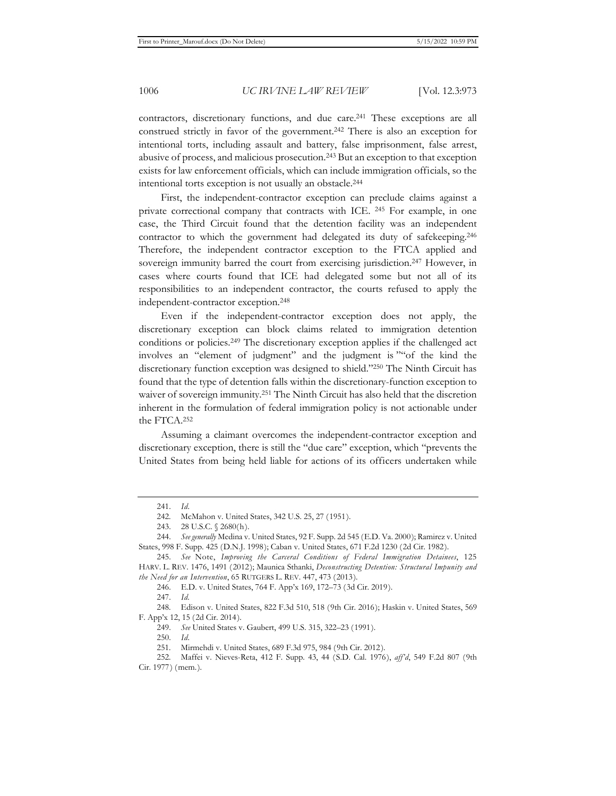contractors, discretionary functions, and due care.241 These exceptions are all construed strictly in favor of the government.242 There is also an exception for intentional torts, including assault and battery, false imprisonment, false arrest, abusive of process, and malicious prosecution.243 But an exception to that exception exists for law enforcement officials, which can include immigration officials, so the intentional torts exception is not usually an obstacle.244

First, the independent-contractor exception can preclude claims against a private correctional company that contracts with ICE. 245 For example, in one case, the Third Circuit found that the detention facility was an independent contractor to which the government had delegated its duty of safekeeping.246 Therefore, the independent contractor exception to the FTCA applied and sovereign immunity barred the court from exercising jurisdiction.<sup>247</sup> However, in cases where courts found that ICE had delegated some but not all of its responsibilities to an independent contractor, the courts refused to apply the independent-contractor exception.248

Even if the independent-contractor exception does not apply, the discretionary exception can block claims related to immigration detention conditions or policies.249 The discretionary exception applies if the challenged act involves an "element of judgment" and the judgment is ""of the kind the discretionary function exception was designed to shield."250 The Ninth Circuit has found that the type of detention falls within the discretionary-function exception to waiver of sovereign immunity.251 The Ninth Circuit has also held that the discretion inherent in the formulation of federal immigration policy is not actionable under the FTCA.252

Assuming a claimant overcomes the independent-contractor exception and discretionary exception, there is still the "due care" exception, which "prevents the United States from being held liable for actions of its officers undertaken while

250. *Id.*

<sup>241.</sup> *Id.*

<sup>242.</sup> McMahon v. United States, 342 U.S. 25, 27 (1951).

<sup>243. 28</sup> U.S.C. § 2680(h).

<sup>244.</sup> *See generally* Medina v. United States, 92 F. Supp. 2d 545 (E.D. Va. 2000); Ramirez v. United States, 998 F. Supp. 425 (D.N.J. 1998); Caban v. United States, 671 F.2d 1230 (2d Cir. 1982).

<sup>245.</sup> *See* Note, *Improving the Carceral Conditions of Federal Immigration Detainees*, 125 HARV. L. REV. 1476, 1491 (2012); Maunica Sthanki, *Deconstructing Detention: Structural Impunity and the Need for an Intervention*, 65 RUTGERS L. REV. 447, 473 (2013).

<sup>246.</sup> E.D. v. United States, 764 F. App'x 169, 172–73 (3d Cir. 2019).

<sup>247.</sup> *Id.* 

<sup>248.</sup> Edison v. United States, 822 F.3d 510, 518 (9th Cir. 2016); Haskin v. United States, 569 F. App'x 12, 15 (2d Cir. 2014).

<sup>249.</sup> *See* United States v. Gaubert, 499 U.S. 315, 322–23 (1991).

<sup>251.</sup> Mirmehdi v. United States, 689 F.3d 975, 984 (9th Cir. 2012).

<sup>252.</sup> Maffei v. Nieves-Reta, 412 F. Supp. 43, 44 (S.D. Cal. 1976), *aff'd*, 549 F.2d 807 (9th Cir. 1977) (mem.).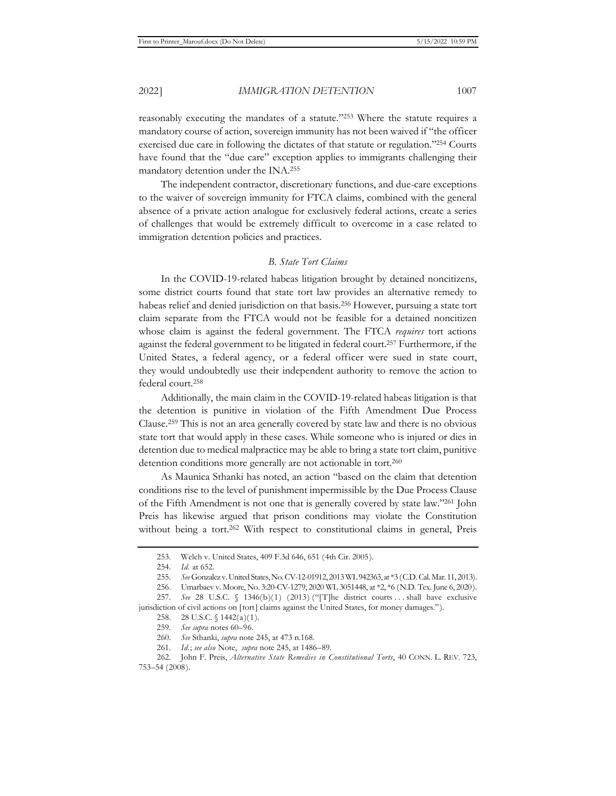mandatory detention under the INA.255

reasonably executing the mandates of a statute."253 Where the statute requires a mandatory course of action, sovereign immunity has not been waived if "the officer exercised due care in following the dictates of that statute or regulation."254 Courts have found that the "due care" exception applies to immigrants challenging their

The independent contractor, discretionary functions, and due-care exceptions to the waiver of sovereign immunity for FTCA claims, combined with the general absence of a private action analogue for exclusively federal actions, create a series of challenges that would be extremely difficult to overcome in a case related to immigration detention policies and practices.

#### *B. State Tort Claims*

In the COVID-19-related habeas litigation brought by detained noncitizens, some district courts found that state tort law provides an alternative remedy to habeas relief and denied jurisdiction on that basis.256 However, pursuing a state tort claim separate from the FTCA would not be feasible for a detained noncitizen whose claim is against the federal government. The FTCA *requires* tort actions against the federal government to be litigated in federal court.257 Furthermore, if the United States, a federal agency, or a federal officer were sued in state court, they would undoubtedly use their independent authority to remove the action to federal court.258

Additionally, the main claim in the COVID-19-related habeas litigation is that the detention is punitive in violation of the Fifth Amendment Due Process Clause.259 This is not an area generally covered by state law and there is no obvious state tort that would apply in these cases. While someone who is injured or dies in detention due to medical malpractice may be able to bring a state tort claim, punitive detention conditions more generally are not actionable in tort.<sup>260</sup>

As Maunica Sthanki has noted, an action "based on the claim that detention conditions rise to the level of punishment impermissible by the Due Process Clause of the Fifth Amendment is not one that is generally covered by state law."261 John Preis has likewise argued that prison conditions may violate the Constitution without being a tort.<sup>262</sup> With respect to constitutional claims in general, Preis

<sup>253.</sup> Welch v. United States, 409 F.3d 646, 651 (4th Cir. 2005).

<sup>254.</sup> *Id.* at 652.

<sup>255.</sup> *See* Gonzalez v. United States, No. CV-12-01912, 2013 WL 942363, at \*3 (C.D. Cal. Mar. 11, 2013).

<sup>256.</sup> Umarbaev v. Moore, No. 3:20-CV-1279, 2020 WL 3051448, at \*2, \*6 (N.D. Tex. June 6, 2020).

<sup>257.</sup> *See* 28 U.S.C. § 1346(b)(1) (2013) ("[T]he district courts ... shall have exclusive jurisdiction of civil actions on [tort] claims against the United States, for money damages.").

<sup>258. 28</sup> U.S.C. § 1442(a)(1).

<sup>259.</sup> *See supra* notes 60–96.

<sup>260.</sup> *See* Sthanki, *supra* note 245, at 473 n.168.

<sup>261.</sup> *Id.*; *see also* Note, *supra* note 245, at 1486–89.

<sup>262.</sup> John F. Preis, *Alternative State Remedies in Constitutional Torts*, 40 CONN. L. REV. 723, 753–54 (2008).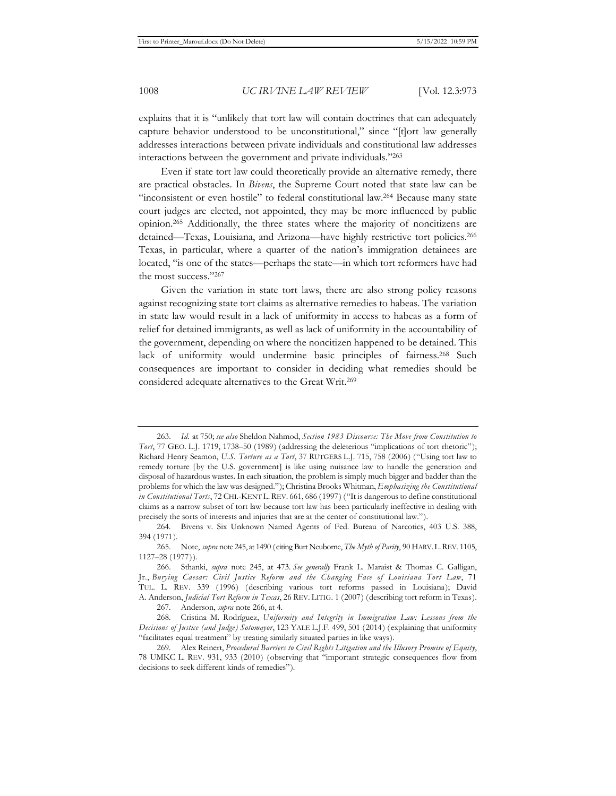explains that it is "unlikely that tort law will contain doctrines that can adequately capture behavior understood to be unconstitutional," since "[t]ort law generally addresses interactions between private individuals and constitutional law addresses interactions between the government and private individuals."263

Even if state tort law could theoretically provide an alternative remedy, there are practical obstacles. In *Bivens*, the Supreme Court noted that state law can be "inconsistent or even hostile" to federal constitutional law.264 Because many state court judges are elected, not appointed, they may be more influenced by public opinion.265 Additionally, the three states where the majority of noncitizens are detained—Texas, Louisiana, and Arizona—have highly restrictive tort policies.<sup>266</sup> Texas, in particular, where a quarter of the nation's immigration detainees are located, "is one of the states—perhaps the state—in which tort reformers have had the most success."267

Given the variation in state tort laws, there are also strong policy reasons against recognizing state tort claims as alternative remedies to habeas. The variation in state law would result in a lack of uniformity in access to habeas as a form of relief for detained immigrants, as well as lack of uniformity in the accountability of the government, depending on where the noncitizen happened to be detained. This lack of uniformity would undermine basic principles of fairness.268 Such consequences are important to consider in deciding what remedies should be considered adequate alternatives to the Great Writ.269

<sup>263.</sup> *Id.* at 750; *see also* Sheldon Nahmod, *Section 1983 Discourse: The Move from Constitution to Tort*, 77 GEO. L.J. 1719, 1738–50 (1989) (addressing the deleterious "implications of tort rhetoric"); Richard Henry Seamon, *U.S. Torture as a Tort*, 37 RUTGERS L.J. 715, 758 (2006) ("Using tort law to remedy torture [by the U.S. government] is like using nuisance law to handle the generation and disposal of hazardous wastes. In each situation, the problem is simply much bigger and badder than the problems for which the law was designed."); Christina Brooks Whitman, *Emphasizing the Constitutional in Constitutional Torts*, 72 CHI.-KENT L.REV. 661, 686 (1997) ("It is dangerous to define constitutional claims as a narrow subset of tort law because tort law has been particularly ineffective in dealing with precisely the sorts of interests and injuries that are at the center of constitutional law.").

<sup>264.</sup> Bivens v. Six Unknown Named Agents of Fed. Bureau of Narcotics, 403 U.S. 388, 394 (1971).

<sup>265.</sup> Note, *supra* note 245, at 1490 (citing Burt Neuborne, *The Myth of Parity*, 90 HARV.L.REV. 1105, 1127–28 (1977)).

<sup>266.</sup> Sthanki, *supra* note 245, at 473. *See generally* Frank L. Maraist & Thomas C. Galligan, Jr., *Burying Caesar: Civil Justice Reform and the Changing Face of Louisiana Tort Law*, 71 TUL. L. REV. 339 (1996) (describing various tort reforms passed in Louisiana); David A. Anderson, *Judicial Tort Reform in Texas*, 26 REV. LITIG. 1 (2007) (describing tort reform in Texas).

<sup>267.</sup> Anderson, *supra* note 266, at 4.

<sup>268.</sup> Cristina M. Rodríguez, *Uniformity and Integrity in Immigration Law: Lessons from the Decisions of Justice (and Judge) Sotomayor*, 123 YALE L.J.F. 499, 501 (2014) (explaining that uniformity "facilitates equal treatment" by treating similarly situated parties in like ways).

<sup>269.</sup> Alex Reinert, *Procedural Barriers to Civil Rights Litigation and the Illusory Promise of Equity*, 78 UMKC L. REV. 931, 933 (2010) (observing that "important strategic consequences flow from decisions to seek different kinds of remedies").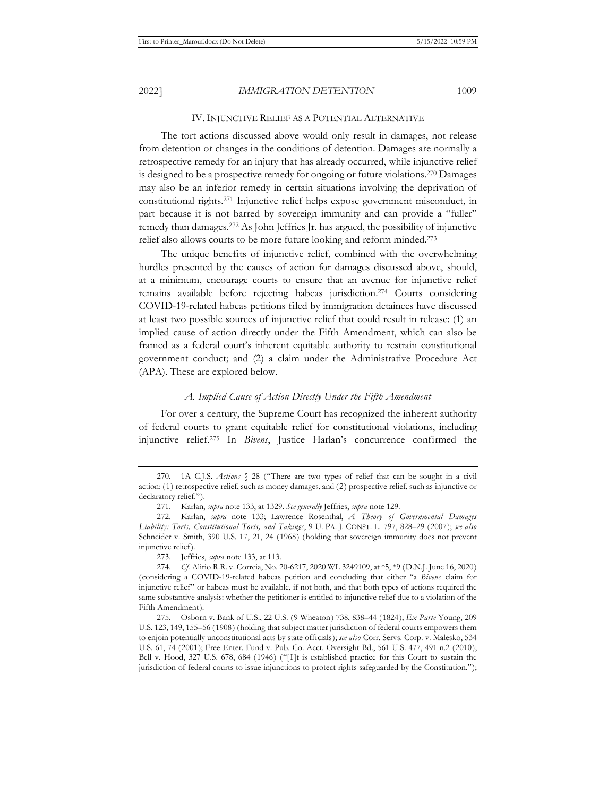#### IV. INJUNCTIVE RELIEF AS A POTENTIAL ALTERNATIVE

The tort actions discussed above would only result in damages, not release from detention or changes in the conditions of detention. Damages are normally a retrospective remedy for an injury that has already occurred, while injunctive relief is designed to be a prospective remedy for ongoing or future violations.270 Damages may also be an inferior remedy in certain situations involving the deprivation of constitutional rights.271 Injunctive relief helps expose government misconduct, in part because it is not barred by sovereign immunity and can provide a "fuller" remedy than damages.272 As John Jeffries Jr. has argued, the possibility of injunctive relief also allows courts to be more future looking and reform minded.273

The unique benefits of injunctive relief, combined with the overwhelming hurdles presented by the causes of action for damages discussed above, should, at a minimum, encourage courts to ensure that an avenue for injunctive relief remains available before rejecting habeas jurisdiction.274 Courts considering COVID-19-related habeas petitions filed by immigration detainees have discussed at least two possible sources of injunctive relief that could result in release: (1) an implied cause of action directly under the Fifth Amendment, which can also be framed as a federal court's inherent equitable authority to restrain constitutional government conduct; and (2) a claim under the Administrative Procedure Act (APA). These are explored below.

#### *A. Implied Cause of Action Directly Under the Fifth Amendment*

For over a century, the Supreme Court has recognized the inherent authority of federal courts to grant equitable relief for constitutional violations, including injunctive relief.275 In *Bivens*, Justice Harlan's concurrence confirmed the

<sup>270. 1</sup>A C.J.S. *Actions* § 28 ("There are two types of relief that can be sought in a civil action: (1) retrospective relief, such as money damages, and (2) prospective relief, such as injunctive or declaratory relief.").

<sup>271.</sup> Karlan, *supra* note 133, at 1329. *See generally* Jeffries, *supra* note 129.

<sup>272.</sup> Karlan, *supra* note 133; Lawrence Rosenthal, *A Theory of Governmental Damages Liability: Torts, Constitutional Torts, and Takings*, 9 U. PA. J. CONST. L. 797, 828–29 (2007); *see also*  Schneider v. Smith, 390 U.S. 17, 21, 24 (1968) (holding that sovereign immunity does not prevent injunctive relief).

<sup>273.</sup> Jeffries, *supra* note 133, at 113.

<sup>274.</sup> *Cf.* Alirio R.R. v. Correia, No. 20-6217, 2020 WL 3249109, at \*5, \*9 (D.N.J. June 16, 2020) (considering a COVID-19-related habeas petition and concluding that either "a *Bivens* claim for injunctive relief" or habeas must be available, if not both, and that both types of actions required the same substantive analysis: whether the petitioner is entitled to injunctive relief due to a violation of the Fifth Amendment).

<sup>275.</sup> Osborn v. Bank of U.S., 22 U.S. (9 Wheaton) 738, 838–44 (1824); *Ex Parte* Young, 209 U.S. 123, 149, 155–56 (1908) (holding that subject matter jurisdiction of federal courts empowers them to enjoin potentially unconstitutional acts by state officials); *see also* Corr. Servs. Corp. v. Malesko, 534 U.S. 61, 74 (2001); Free Enter. Fund v. Pub. Co. Acct. Oversight Bd., 561 U.S. 477, 491 n.2 (2010); Bell v. Hood, 327 U.S. 678, 684 (1946) ("[I]t is established practice for this Court to sustain the jurisdiction of federal courts to issue injunctions to protect rights safeguarded by the Constitution.");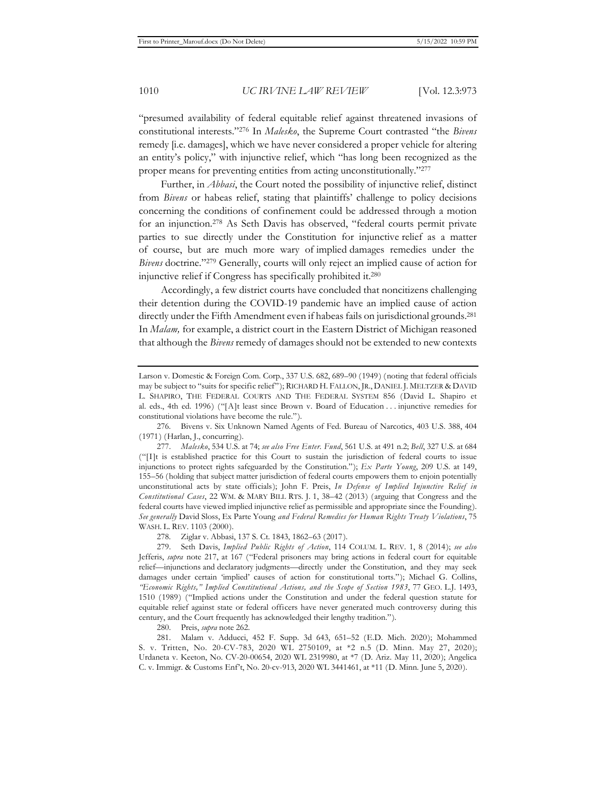"presumed availability of federal equitable relief against threatened invasions of constitutional interests."276 In *Malesko*, the Supreme Court contrasted "the *Bivens* remedy [i.e. damages], which we have never considered a proper vehicle for altering an entity's policy," with injunctive relief, which "has long been recognized as the proper means for preventing entities from acting unconstitutionally."277

Further, in *Abbasi*, the Court noted the possibility of injunctive relief, distinct from *Bivens* or habeas relief, stating that plaintiffs' challenge to policy decisions concerning the conditions of confinement could be addressed through a motion for an injunction.278 As Seth Davis has observed, "federal courts permit private parties to sue directly under the Constitution for injunctive relief as a matter of course, but are much more wary of implied damages remedies under the *Bivens* doctrine."279 Generally, courts will only reject an implied cause of action for injunctive relief if Congress has specifically prohibited it.280

Accordingly, a few district courts have concluded that noncitizens challenging their detention during the COVID-19 pandemic have an implied cause of action directly under the Fifth Amendment even if habeas fails on jurisdictional grounds.281 In *Malam,* for example, a district court in the Eastern District of Michigan reasoned that although the *Bivens* remedy of damages should not be extended to new contexts

278. Ziglar v. Abbasi, 137 S. Ct. 1843, 1862–63 (2017).

279. Seth Davis, *Implied Public Rights of Action*, 114 COLUM. L. REV. 1, 8 (2014); *see also*  Jefferis, *supra* note 217, at 167 ("Federal prisoners may bring actions in federal court for equitable relief—injunctions and declaratory judgments—directly under the Constitution, and they may seek damages under certain 'implied' causes of action for constitutional torts."); Michael G. Collins, *"Economic Rights," Implied Constitutional Actions, and the Scope of Section 1983*, 77 GEO. L.J. 1493, 1510 (1989) ("Implied actions under the Constitution and under the federal question statute for equitable relief against state or federal officers have never generated much controversy during this century, and the Court frequently has acknowledged their lengthy tradition.").

280. Preis, *supra* note 262.

281. Malam v. Adducci, 452 F. Supp. 3d 643, 651–52 (E.D. Mich. 2020); Mohammed S. v. Tritten, No. 20-CV-783, 2020 WL 2750109, at \*2 n.5 (D. Minn. May 27, 2020); Urdaneta v. Keeton, No. CV-20-00654, 2020 WL 2319980, at \*7 (D. Ariz. May 11, 2020); Angelica C. v. Immigr. & Customs Enf't, No. 20-cv-913, 2020 WL 3441461, at \*11 (D. Minn. June 5, 2020).

Larson v. Domestic & Foreign Com. Corp., 337 U.S. 682, 689–90 (1949) (noting that federal officials may be subject to "suits for specific relief"); RICHARD H. FALLON, JR., DANIEL J. MELTZER & DAVID L. SHAPIRO, THE FEDERAL COURTS AND THE FEDERAL SYSTEM 856 (David L. Shapiro et al. eds., 4th ed. 1996) ("[A]t least since Brown v. Board of Education . . . injunctive remedies for constitutional violations have become the rule.").

<sup>276.</sup> Bivens v. Six Unknown Named Agents of Fed. Bureau of Narcotics, 403 U.S. 388, 404 (1971) (Harlan, J., concurring).

<sup>277.</sup> *Malesko*, 534 U.S. at 74; *see also Free Enter. Fund*, 561 U.S. at 491 n.2; *Bell*, 327 U.S. at 684 ("[I]t is established practice for this Court to sustain the jurisdiction of federal courts to issue injunctions to protect rights safeguarded by the Constitution."); *Ex Parte Young*, 209 U.S. at 149, 155–56 (holding that subject matter jurisdiction of federal courts empowers them to enjoin potentially unconstitutional acts by state officials); John F. Preis, *In Defense of Implied Injunctive Relief in Constitutional Cases*, 22 WM. & MARY BILL RTS. J. 1, 38–42 (2013) (arguing that Congress and the federal courts have viewed implied injunctive relief as permissible and appropriate since the Founding). *See generally* David Sloss, Ex Parte Young *and Federal Remedies for Human Rights Treaty Violations*, 75 WASH. L. REV. 1103 (2000).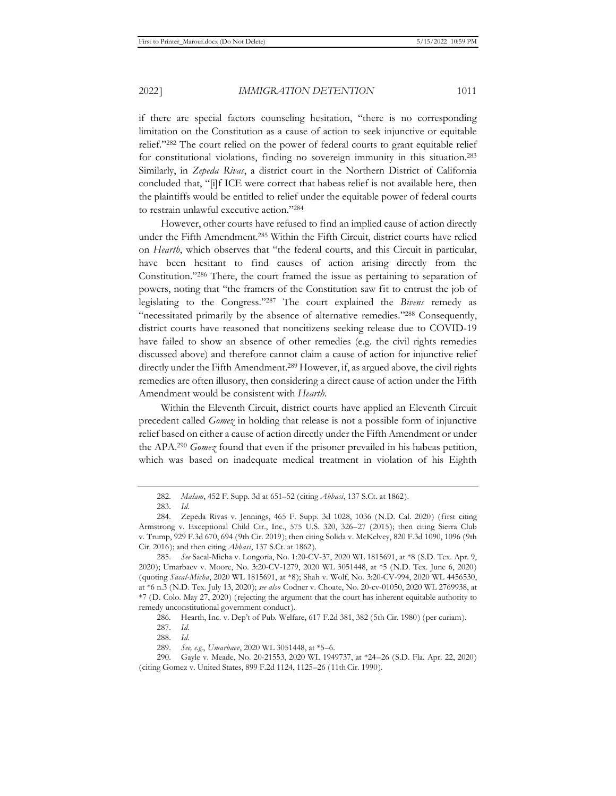if there are special factors counseling hesitation, "there is no corresponding limitation on the Constitution as a cause of action to seek injunctive or equitable relief."282 The court relied on the power of federal courts to grant equitable relief for constitutional violations, finding no sovereign immunity in this situation.283 Similarly, in *Zepeda Rivas*, a district court in the Northern District of California concluded that, "[i]f ICE were correct that habeas relief is not available here, then the plaintiffs would be entitled to relief under the equitable power of federal courts to restrain unlawful executive action."284

However, other courts have refused to find an implied cause of action directly under the Fifth Amendment.285 Within the Fifth Circuit, district courts have relied on *Hearth*, which observes that "the federal courts, and this Circuit in particular, have been hesitant to find causes of action arising directly from the Constitution."286 There, the court framed the issue as pertaining to separation of powers, noting that "the framers of the Constitution saw fit to entrust the job of legislating to the Congress."287 The court explained the *Bivens* remedy as "necessitated primarily by the absence of alternative remedies."288 Consequently, district courts have reasoned that noncitizens seeking release due to COVID-19 have failed to show an absence of other remedies (e.g. the civil rights remedies discussed above) and therefore cannot claim a cause of action for injunctive relief directly under the Fifth Amendment.289 However, if, as argued above, the civil rights remedies are often illusory, then considering a direct cause of action under the Fifth Amendment would be consistent with *Hearth*.

Within the Eleventh Circuit, district courts have applied an Eleventh Circuit precedent called *Gomez* in holding that release is not a possible form of injunctive relief based on either a cause of action directly under the Fifth Amendment or under the APA.290 *Gomez* found that even if the prisoner prevailed in his habeas petition, which was based on inadequate medical treatment in violation of his Eighth

<sup>282.</sup> *Malam*, 452 F. Supp. 3d at 651–52 (citing *Abbasi*, 137 S.Ct. at 1862).

<sup>283.</sup> *Id.* 

<sup>284.</sup> Zepeda Rivas v. Jennings, 465 F. Supp. 3d 1028, 1036 (N.D. Cal. 2020) (first citing Armstrong v. Exceptional Child Ctr., Inc., 575 U.S. 320, 326–27 (2015); then citing Sierra Club v. Trump, 929 F.3d 670, 694 (9th Cir. 2019); then citing Solida v. McKelvey, 820 F.3d 1090, 1096 (9th Cir. 2016); and then citing *Abbasi*, 137 S.Ct. at 1862).

<sup>285.</sup> *See* Sacal-Micha v. Longoria, No. 1:20-CV-37, 2020 WL 1815691, at \*8 (S.D. Tex. Apr. 9, 2020); Umarbaev v. Moore, No. 3:20-CV-1279, 2020 WL 3051448, at \*5 (N.D. Tex. June 6, 2020) (quoting *Sacal-Micha*, 2020 WL 1815691, at \*8); Shah v. Wolf, No. 3:20-CV-994, 2020 WL 4456530, at \*6 n.3 (N.D. Tex. July 13, 2020); *see also* Codner v. Choate, No. 20-cv-01050, 2020 WL 2769938, at \*7 (D. Colo. May 27, 2020) (rejecting the argument that the court has inherent equitable authority to remedy unconstitutional government conduct).

<sup>286.</sup> Hearth, Inc. v. Dep't of Pub. Welfare, 617 F.2d 381, 382 (5th Cir. 1980) (per curiam).

<sup>287.</sup> *Id.* 

<sup>288.</sup> *Id.* 

<sup>289.</sup> *See, e.g.*, *Umarbaev*, 2020 WL 3051448, at \*5–6.

<sup>290.</sup> Gayle v. Meade, No. 20-21553, 2020 WL 1949737, at \*24–26 (S.D. Fla. Apr. 22, 2020) (citing Gomez v. United States, 899 F.2d 1124, 1125–26 (11thCir. 1990).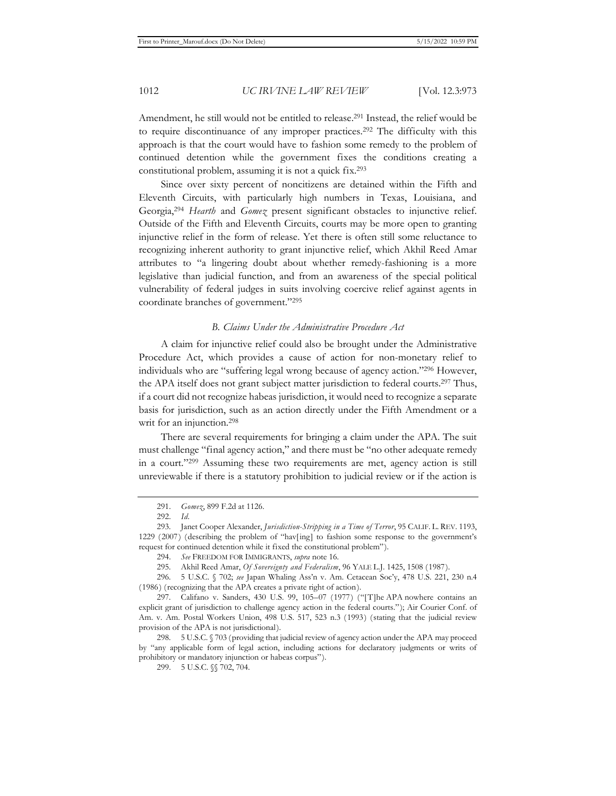Amendment, he still would not be entitled to release.291 Instead, the relief would be to require discontinuance of any improper practices.292 The difficulty with this approach is that the court would have to fashion some remedy to the problem of continued detention while the government fixes the conditions creating a constitutional problem, assuming it is not a quick fix.293

Since over sixty percent of noncitizens are detained within the Fifth and Eleventh Circuits, with particularly high numbers in Texas, Louisiana, and Georgia,294 *Hearth* and *Gomez* present significant obstacles to injunctive relief. Outside of the Fifth and Eleventh Circuits, courts may be more open to granting injunctive relief in the form of release. Yet there is often still some reluctance to recognizing inherent authority to grant injunctive relief, which Akhil Reed Amar attributes to "a lingering doubt about whether remedy-fashioning is a more legislative than judicial function, and from an awareness of the special political vulnerability of federal judges in suits involving coercive relief against agents in coordinate branches of government."295

#### *B. Claims Under the Administrative Procedure Act*

A claim for injunctive relief could also be brought under the Administrative Procedure Act, which provides a cause of action for non-monetary relief to individuals who are "suffering legal wrong because of agency action."296 However, the APA itself does not grant subject matter jurisdiction to federal courts.297 Thus, if a court did not recognize habeas jurisdiction, it would need to recognize a separate basis for jurisdiction, such as an action directly under the Fifth Amendment or a writ for an injunction.<sup>298</sup>

There are several requirements for bringing a claim under the APA. The suit must challenge "final agency action," and there must be "no other adequate remedy in a court."299 Assuming these two requirements are met, agency action is still unreviewable if there is a statutory prohibition to judicial review or if the action is

296. 5 U.S.C. § 702; *see* Japan Whaling Ass'n v. Am. Cetacean Soc'y, 478 U.S. 221, 230 n.4 (1986) (recognizing that the APA creates a private right of action).

<sup>291.</sup> *Gomez*, 899 F.2d at 1126.

<sup>292.</sup> *Id.* 

<sup>293.</sup> Janet Cooper Alexander, *Jurisdiction-Stripping in a Time of Terror*, 95 CALIF. L. REV. 1193, 1229 (2007) (describing the problem of "hav[ing] to fashion some response to the government's request for continued detention while it fixed the constitutional problem").

<sup>294.</sup> *See* FREEDOM FOR IMMIGRANTS, *supra* note 16.

<sup>295.</sup> Akhil Reed Amar, *Of Sovereignty and Federalism*, 96 YALE L.J. 1425, 1508 (1987).

<sup>297.</sup> Califano v. Sanders, 430 U.S. 99, 105–07 (1977) ("[T]he APA nowhere contains an explicit grant of jurisdiction to challenge agency action in the federal courts."); Air Courier Conf. of Am. v. Am. Postal Workers Union, 498 U.S. 517, 523 n.3 (1993) (stating that the judicial review provision of the APA is not jurisdictional).

<sup>298. 5</sup> U.S.C. § 703 (providing that judicial review of agency action under the APA may proceed by "any applicable form of legal action, including actions for declaratory judgments or writs of prohibitory or mandatory injunction or habeas corpus").

<sup>299. 5</sup> U.S.C. §§ 702, 704.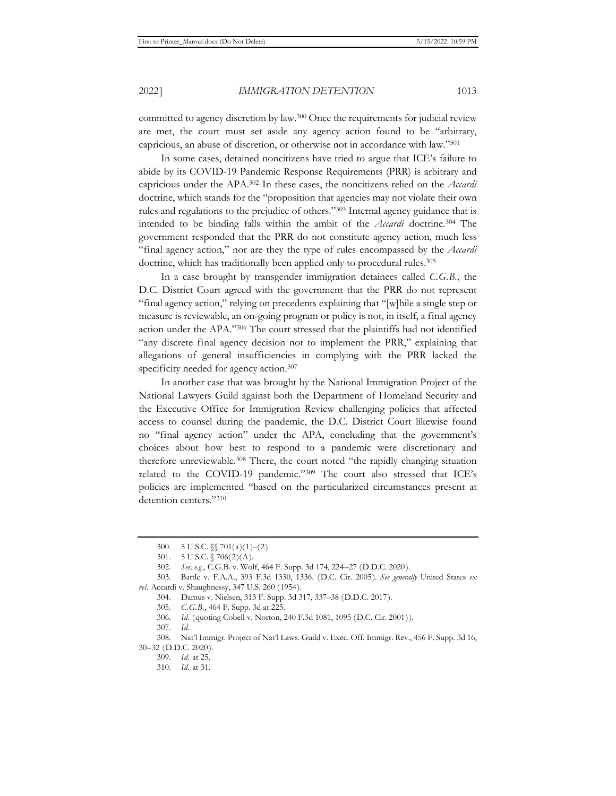committed to agency discretion by law.300 Once the requirements for judicial review are met, the court must set aside any agency action found to be "arbitrary, capricious, an abuse of discretion, or otherwise not in accordance with law."301

In some cases, detained noncitizens have tried to argue that ICE's failure to abide by its COVID-19 Pandemic Response Requirements (PRR) is arbitrary and capricious under the APA.302 In these cases, the noncitizens relied on the *Accardi* doctrine, which stands for the "proposition that agencies may not violate their own rules and regulations to the prejudice of others."303 Internal agency guidance that is intended to be binding falls within the ambit of the *Accardi* doctrine.304 The government responded that the PRR do not constitute agency action, much less "final agency action," nor are they the type of rules encompassed by the *Accardi*  doctrine, which has traditionally been applied only to procedural rules.<sup>305</sup>

In a case brought by transgender immigration detainees called *C.G.B.*, the D.C. District Court agreed with the government that the PRR do not represent "final agency action," relying on precedents explaining that "[w]hile a single step or measure is reviewable, an on-going program or policy is not, in itself, a final agency action under the APA."306 The court stressed that the plaintiffs had not identified "any discrete final agency decision not to implement the PRR," explaining that allegations of general insufficiencies in complying with the PRR lacked the specificity needed for agency action.<sup>307</sup>

In another case that was brought by the National Immigration Project of the National Lawyers Guild against both the Department of Homeland Security and the Executive Office for Immigration Review challenging policies that affected access to counsel during the pandemic, the D.C. District Court likewise found no "final agency action" under the APA, concluding that the government's choices about how best to respond to a pandemic were discretionary and therefore unreviewable.308 There, the court noted "the rapidly changing situation related to the COVID-19 pandemic."309 The court also stressed that ICE's policies are implemented "based on the particularized circumstances present at detention centers."310

<sup>300. 5</sup> U.S.C.  $\sqrt{\ }$  701(a)(1)–(2).

<sup>301. 5</sup> U.S.C. § 706(2)(A).

<sup>302.</sup> *See, e.g.*, C.G.B. v. Wolf, 464 F. Supp. 3d 174, 224–27 (D.D.C. 2020).

<sup>303.</sup> Battle v. F.A.A., 393 F.3d 1330, 1336. (D.C. Cir. 2005). *See generally* United States *ex rel.* Accardi v. Shaughnessy, 347 U.S. 260 (1954).

<sup>304.</sup> Damus v. Nielsen, 313 F. Supp. 3d 317, 337–38 (D.D.C. 2017).

<sup>305.</sup> *C.G.B.*, 464 F. Supp. 3d at 225.

<sup>306.</sup> *Id.* (quoting Cobell v. Norton, 240 F.3d 1081, 1095 (D.C. Cir. 2001)).

<sup>307.</sup> *Id*.

<sup>308.</sup> Nat'l Immigr. Project of Nat'l Laws. Guild v. Exec. Off. Immigr. Rev., 456 F. Supp. 3d 16, 30–32 (D.D.C. 2020).

<sup>309.</sup> *Id.* at 25.

<sup>310.</sup> *Id.* at 31.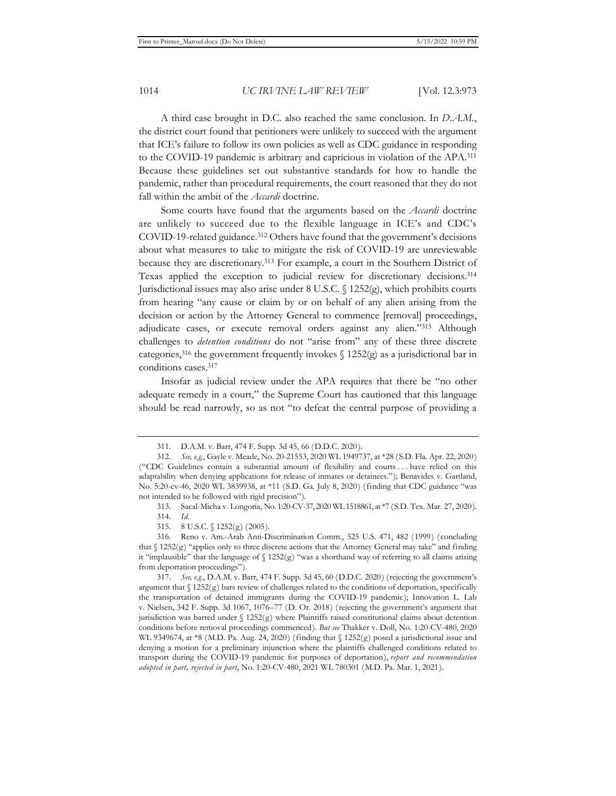A third case brought in D.C. also reached the same conclusion. In *D.A.M.*, the district court found that petitioners were unlikely to succeed with the argument that ICE's failure to follow its own policies as well as CDC guidance in responding to the COVID-19 pandemic is arbitrary and capricious in violation of the APA.311 Because these guidelines set out substantive standards for how to handle the pandemic, rather than procedural requirements, the court reasoned that they do not fall within the ambit of the *Accardi* doctrine.

Some courts have found that the arguments based on the *Accardi* doctrine are unlikely to succeed due to the flexible language in ICE's and CDC's COVID-19-related guidance.312 Others have found that the government's decisions about what measures to take to mitigate the risk of COVID-19 are unreviewable because they are discretionary.313 For example, a court in the Southern District of Texas applied the exception to judicial review for discretionary decisions.314 Jurisdictional issues may also arise under 8 U.S.C.  $\{(1252)$  (g), which prohibits courts from hearing "any cause or claim by or on behalf of any alien arising from the decision or action by the Attorney General to commence [removal] proceedings, adjudicate cases, or execute removal orders against any alien."315 Although challenges to *detention conditions* do not "arise from" any of these three discrete categories,<sup>316</sup> the government frequently invokes  $\int$  1252(g) as a jurisdictional bar in conditions cases.317

Insofar as judicial review under the APA requires that there be "no other adequate remedy in a court," the Supreme Court has cautioned that this language should be read narrowly, so as not "to defeat the central purpose of providing a

<sup>311.</sup> D.A.M. v. Barr, 474 F. Supp. 3d 45, 66 (D.D.C. 2020).

<sup>312.</sup> *See, e.g.*, Gayle v. Meade, No. 20-21553, 2020 WL 1949737, at \*28 (S.D. Fla. Apr. 22, 2020) ("CDC Guidelines contain a substantial amount of flexibility and courts . . . have relied on this adaptability when denying applications for release of inmates or detainees."); Benavides v. Gartland, No. 5:20-cv-46, 2020 WL 3839938, at \*11 (S.D. Ga. July 8, 2020) (finding that CDC guidance "was not intended to be followed with rigid precision").

<sup>313.</sup> Sacal-Micha v. Longoria, No. 1:20-CV-37, 2020 WL 1518861, at \*7 (S.D. Tex. Mar. 27, 2020).

<sup>314.</sup> *Id.*

<sup>315. 8</sup> U.S.C. § 1252(g) (2005).

<sup>316.</sup> Reno v. Am.-Arab Anti-Discrimination Comm., 525 U.S. 471, 482 (1999) (concluding that  $\S 1252(g)$  "applies only to three discrete actions that the Attorney General may take" and finding it "implausible" that the language of  $\S$  1252(g) "was a shorthand way of referring to all claims arising from deportation proceedings").

<sup>317.</sup> *See, e.g.*, D.A.M. v. Barr, 474 F. Supp. 3d 45, 60 (D.D.C. 2020) (rejecting the government's argument that  $\S 1252(g)$  bars review of challenges related to the conditions of deportation, specifically the transportation of detained immigrants during the COVID-19 pandemic); Innovation L. Lab v. Nielsen, 342 F. Supp. 3d 1067, 1076–77 (D. Or. 2018) (rejecting the government's argument that jurisdiction was barred under § 1252(g) where Plaintiffs raised constitutional claims about detention conditions before removal proceedings commenced). *But see* Thakker v. Doll, No. 1:20-CV-480, 2020 WL 9349674, at \*8 (M.D. Pa. Aug. 24, 2020) (finding that § 1252(g) posed a jurisdictional issue and denying a motion for a preliminary injunction where the plaintiffs challenged conditions related to transport during the COVID-19 pandemic for purposes of deportation), *report and recommendation adopted in part, rejected in part*, No. 1:20-CV-480, 2021 WL 780301 (M.D. Pa. Mar. 1, 2021).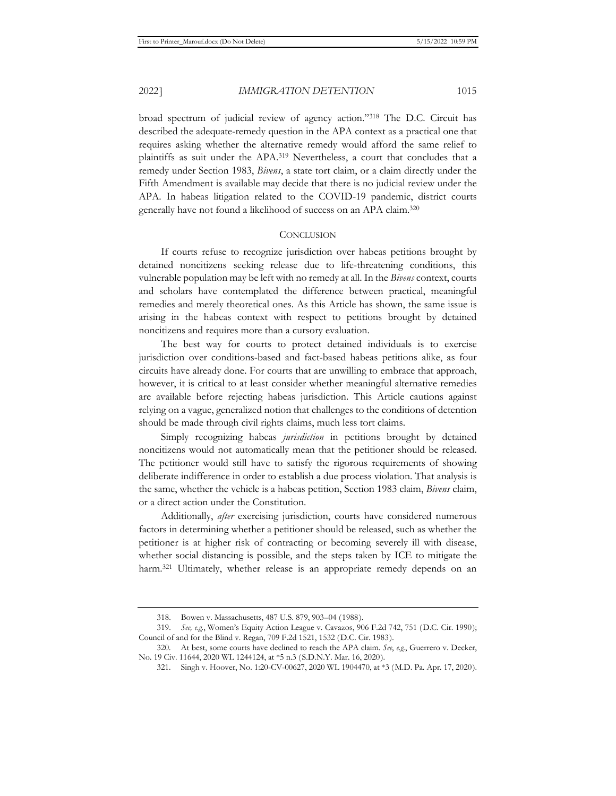broad spectrum of judicial review of agency action."318 The D.C. Circuit has described the adequate-remedy question in the APA context as a practical one that requires asking whether the alternative remedy would afford the same relief to plaintiffs as suit under the APA.319 Nevertheless, a court that concludes that a remedy under Section 1983, *Bivens*, a state tort claim, or a claim directly under the Fifth Amendment is available may decide that there is no judicial review under the APA. In habeas litigation related to the COVID-19 pandemic, district courts generally have not found a likelihood of success on an APA claim.320

#### **CONCLUSION**

If courts refuse to recognize jurisdiction over habeas petitions brought by detained noncitizens seeking release due to life-threatening conditions, this vulnerable population may be left with no remedy at all. In the *Bivens* context, courts and scholars have contemplated the difference between practical, meaningful remedies and merely theoretical ones. As this Article has shown, the same issue is arising in the habeas context with respect to petitions brought by detained noncitizens and requires more than a cursory evaluation.

The best way for courts to protect detained individuals is to exercise jurisdiction over conditions-based and fact-based habeas petitions alike, as four circuits have already done. For courts that are unwilling to embrace that approach, however, it is critical to at least consider whether meaningful alternative remedies are available before rejecting habeas jurisdiction. This Article cautions against relying on a vague, generalized notion that challenges to the conditions of detention should be made through civil rights claims, much less tort claims.

Simply recognizing habeas *jurisdiction* in petitions brought by detained noncitizens would not automatically mean that the petitioner should be released. The petitioner would still have to satisfy the rigorous requirements of showing deliberate indifference in order to establish a due process violation. That analysis is the same, whether the vehicle is a habeas petition, Section 1983 claim, *Bivens* claim, or a direct action under the Constitution.

Additionally, *after* exercising jurisdiction, courts have considered numerous factors in determining whether a petitioner should be released, such as whether the petitioner is at higher risk of contracting or becoming severely ill with disease, whether social distancing is possible, and the steps taken by ICE to mitigate the harm.<sup>321</sup> Ultimately, whether release is an appropriate remedy depends on an

<sup>318.</sup> Bowen v. Massachusetts, 487 U.S. 879, 903–04 (1988).

<sup>319.</sup> *See, e.g.*, Women's Equity Action League v. Cavazos, 906 F.2d 742, 751 (D.C. Cir. 1990); Council of and for the Blind v. Regan, 709 F.2d 1521, 1532 (D.C. Cir. 1983).

<sup>320.</sup> At best, some courts have declined to reach the APA claim. *See*, *e.g.*, Guerrero v. Decker, No. 19 Civ. 11644, 2020 WL 1244124, at \*5 n.3 (S.D.N.Y. Mar. 16, 2020).

<sup>321.</sup> Singh v. Hoover, No. 1:20-CV-00627, 2020 WL 1904470, at \*3 (M.D. Pa. Apr. 17, 2020).